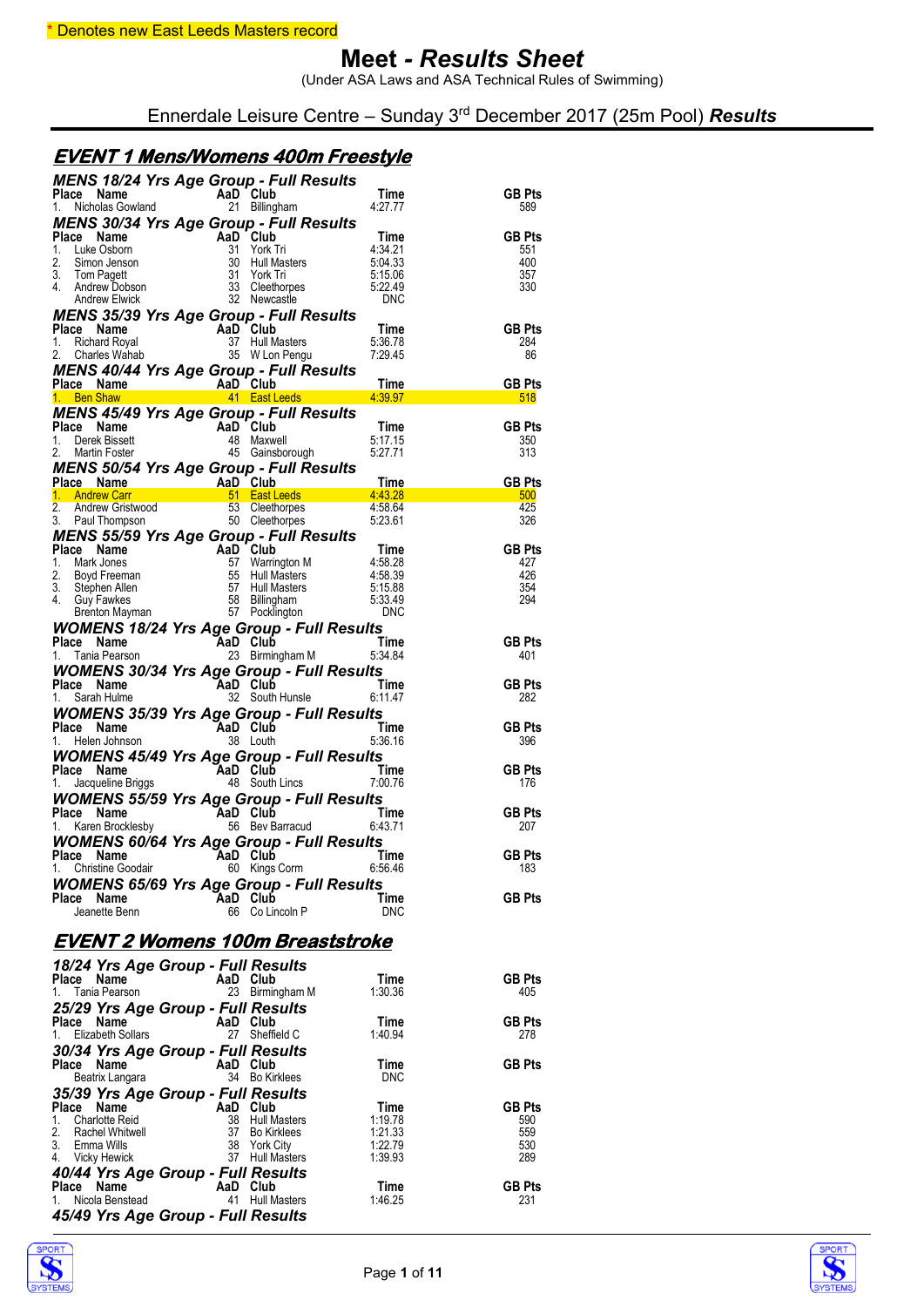(Under ASA Laws and ASA Technical Rules of Swimming)

Ennerdale Leisure Centre – Sunday 3rd December 2017 (25m Pool) *Results*

#### **EVENT 1 Mens/Womens 400m Freestyle**

| <b>MENS 18/24 Yrs Age Group - Full Results<br/>Place Name AaD Club Time</b><br>1. Nicholas Gowland 21 Billingham 4:27.77                                                                                                                      |          |                 |                 |                                                 |
|-----------------------------------------------------------------------------------------------------------------------------------------------------------------------------------------------------------------------------------------------|----------|-----------------|-----------------|-------------------------------------------------|
|                                                                                                                                                                                                                                               |          |                 |                 | <b>GB Pts</b><br>589                            |
|                                                                                                                                                                                                                                               |          |                 |                 |                                                 |
|                                                                                                                                                                                                                                               |          |                 |                 |                                                 |
|                                                                                                                                                                                                                                               |          |                 |                 |                                                 |
|                                                                                                                                                                                                                                               |          |                 |                 |                                                 |
|                                                                                                                                                                                                                                               |          |                 |                 | <b>GB Pts</b><br>551<br>400<br>357<br>330       |
|                                                                                                                                                                                                                                               |          |                 |                 |                                                 |
| MENS 30 WHAT Age Group - Full Results<br>Place Name And Club<br>1. Luke Oshorn 31 York Tri 4:34.21<br>2. Simon Jenson 30 Hull Masters 5:04.33<br>3. Tom Pagett 31 York Tri 5:15.06<br>4. Andrew Dobson 32 Newton Except 32 Agency Entre       |          |                 |                 |                                                 |
| 4. Andrew Blueck<br>MENS 35/39 Yrs Age Group - Full Results<br>1. Richard Royal<br>1. Richard Royal<br>1. Richard Royal<br>2. Change Ranne<br>1. Richard Royal<br>2. Change Ranne<br>1. Blueck Wanda 37 Hull Masters<br>3. MENS 40/44 Yrs Age |          |                 |                 |                                                 |
|                                                                                                                                                                                                                                               |          |                 |                 |                                                 |
|                                                                                                                                                                                                                                               |          |                 |                 |                                                 |
|                                                                                                                                                                                                                                               |          |                 |                 |                                                 |
|                                                                                                                                                                                                                                               |          |                 |                 |                                                 |
|                                                                                                                                                                                                                                               |          |                 |                 |                                                 |
|                                                                                                                                                                                                                                               |          |                 |                 |                                                 |
|                                                                                                                                                                                                                                               |          |                 |                 |                                                 |
|                                                                                                                                                                                                                                               |          |                 |                 |                                                 |
|                                                                                                                                                                                                                                               |          |                 |                 |                                                 |
|                                                                                                                                                                                                                                               |          |                 |                 |                                                 |
|                                                                                                                                                                                                                                               |          |                 |                 |                                                 |
|                                                                                                                                                                                                                                               |          |                 |                 |                                                 |
|                                                                                                                                                                                                                                               |          |                 |                 |                                                 |
|                                                                                                                                                                                                                                               |          |                 |                 |                                                 |
|                                                                                                                                                                                                                                               |          |                 |                 |                                                 |
|                                                                                                                                                                                                                                               |          |                 |                 |                                                 |
|                                                                                                                                                                                                                                               |          |                 |                 |                                                 |
|                                                                                                                                                                                                                                               |          |                 |                 |                                                 |
|                                                                                                                                                                                                                                               |          |                 |                 |                                                 |
|                                                                                                                                                                                                                                               |          |                 |                 |                                                 |
|                                                                                                                                                                                                                                               |          |                 |                 |                                                 |
| <b>WOMENS 18/24 Yrs Age Group - Full Results<br/>Place Name AaD Club Time<br/>1. Tania Pearson 23 Birmingham M 5:34.84</b>                                                                                                                    |          |                 |                 | GB Pts<br>401<br>GB Pts<br>282<br>GB Pts<br>396 |
|                                                                                                                                                                                                                                               |          |                 |                 |                                                 |
|                                                                                                                                                                                                                                               |          |                 |                 |                                                 |
| <b>WOMENS 30/34 Yrs Age Group - Full Results<br/>Place Name AaD Club Time<br/>1. Sarah Hulme 32 South Hunsle 6:11.47</b>                                                                                                                      |          |                 |                 |                                                 |
|                                                                                                                                                                                                                                               |          |                 |                 |                                                 |
|                                                                                                                                                                                                                                               |          |                 |                 |                                                 |
| <b>WOMENS 35/39 Yrs Age Group - Full Results<br/>Place Name AaD Club Time<br/>1. Helen Johnson 38 Louth 5:36.16</b>                                                                                                                           |          |                 |                 |                                                 |
|                                                                                                                                                                                                                                               |          |                 |                 |                                                 |
|                                                                                                                                                                                                                                               |          |                 |                 |                                                 |
| <b>WOMENS 45/49 Yrs Age Group - Full Results<br/>Place Name AaD Club Time</b><br>1. Jacqueline Briggs 48 South Lincs 7:00.76                                                                                                                  |          |                 |                 | GB Pts 176<br>GB Pts 207<br>GB Pts 207          |
|                                                                                                                                                                                                                                               |          |                 |                 |                                                 |
|                                                                                                                                                                                                                                               |          |                 |                 |                                                 |
|                                                                                                                                                                                                                                               |          |                 |                 |                                                 |
| <b>WOMENS 55/59 Yrs Age Group - Full Results<br/>Place Name AaD Club Time<br/>1. Karen Brocklesby 66 Bev Barracud 6:43.71</b>                                                                                                                 |          |                 |                 |                                                 |
|                                                                                                                                                                                                                                               |          |                 |                 |                                                 |
| <b>WOMENS 60/64 Yrs Age Group - Full Results</b><br>Place Name AaD Club Time                                                                                                                                                                  |          |                 |                 |                                                 |
|                                                                                                                                                                                                                                               |          |                 |                 |                                                 |
| <b>Christine Goodair</b>                                                                                                                                                                                                                      |          | 60 Kings Corm   | 6.56.46         | 183                                             |
| <b>WOMENS 65/69 Yrs Age Group - Full Results</b>                                                                                                                                                                                              |          |                 |                 |                                                 |
| Place Name                                                                                                                                                                                                                                    | AaD Club |                 | Time            | <b>GB Pts</b>                                   |
| Jeanette Benn                                                                                                                                                                                                                                 |          | 66 Co Lincoln P | <b>DNC</b>      |                                                 |
|                                                                                                                                                                                                                                               |          |                 |                 |                                                 |
| <u>EVENT 2 Womens 100m Breaststroke</u>                                                                                                                                                                                                       |          |                 |                 |                                                 |
|                                                                                                                                                                                                                                               |          |                 |                 |                                                 |
| 18/24 Yrs Age Group - Full Results                                                                                                                                                                                                            |          |                 |                 |                                                 |
| Place<br>Name<br>Tania Pearson<br>1.                                                                                                                                                                                                          | AaD Club | 23 Birmingham M | Time<br>1:30.36 | <b>GB Pts</b><br>405                            |
|                                                                                                                                                                                                                                               |          |                 |                 |                                                 |
| 25/29 Yrs Age Group - Full Results                                                                                                                                                                                                            |          |                 |                 |                                                 |
| Place Name<br><b>Elizabeth Sollars</b><br>1.                                                                                                                                                                                                  | AaD Club | 27 Sheffield C  | Time<br>1:40.94 | <b>GB Pts</b><br>278                            |
|                                                                                                                                                                                                                                               |          |                 |                 |                                                 |
| 30/34 Yrs Age Group - Full Results<br>Place Name                                                                                                                                                                                              | AaD Club |                 | Time            | <b>GB Pts</b>                                   |
|                                                                                                                                                                                                                                               |          |                 |                 |                                                 |

| 3.<br>Emma Wills<br><b>Vicky Hewick</b><br>4.                                                             | 38 York City<br>Hull Masters<br>37    | 1:22.79<br>1.39.93 | 530<br>289           |
|-----------------------------------------------------------------------------------------------------------|---------------------------------------|--------------------|----------------------|
| 40/44 Yrs Age Group - Full Results<br>Place Name<br>Nicola Benstead<br>45/49 Yrs Age Group - Full Results | AaD Club<br><b>Hull Masters</b><br>41 | Time<br>1.46.25    | <b>GB Pts</b><br>231 |
| <b>SPORT</b><br><b>SYSTEMS</b>                                                                            |                                       | Page 1 of 11       |                      |

Beatrix Langara 34 Bo Kirklees DNC

**Place Name AaD Club Time GB Pts** 1. Charlotte Reid 38 Hull Masters 1:19.78 590 2. Rachel Whitwell 37 Bo Kirklees 1:21.33 559

*35/39 Yrs Age Group - Full Results*

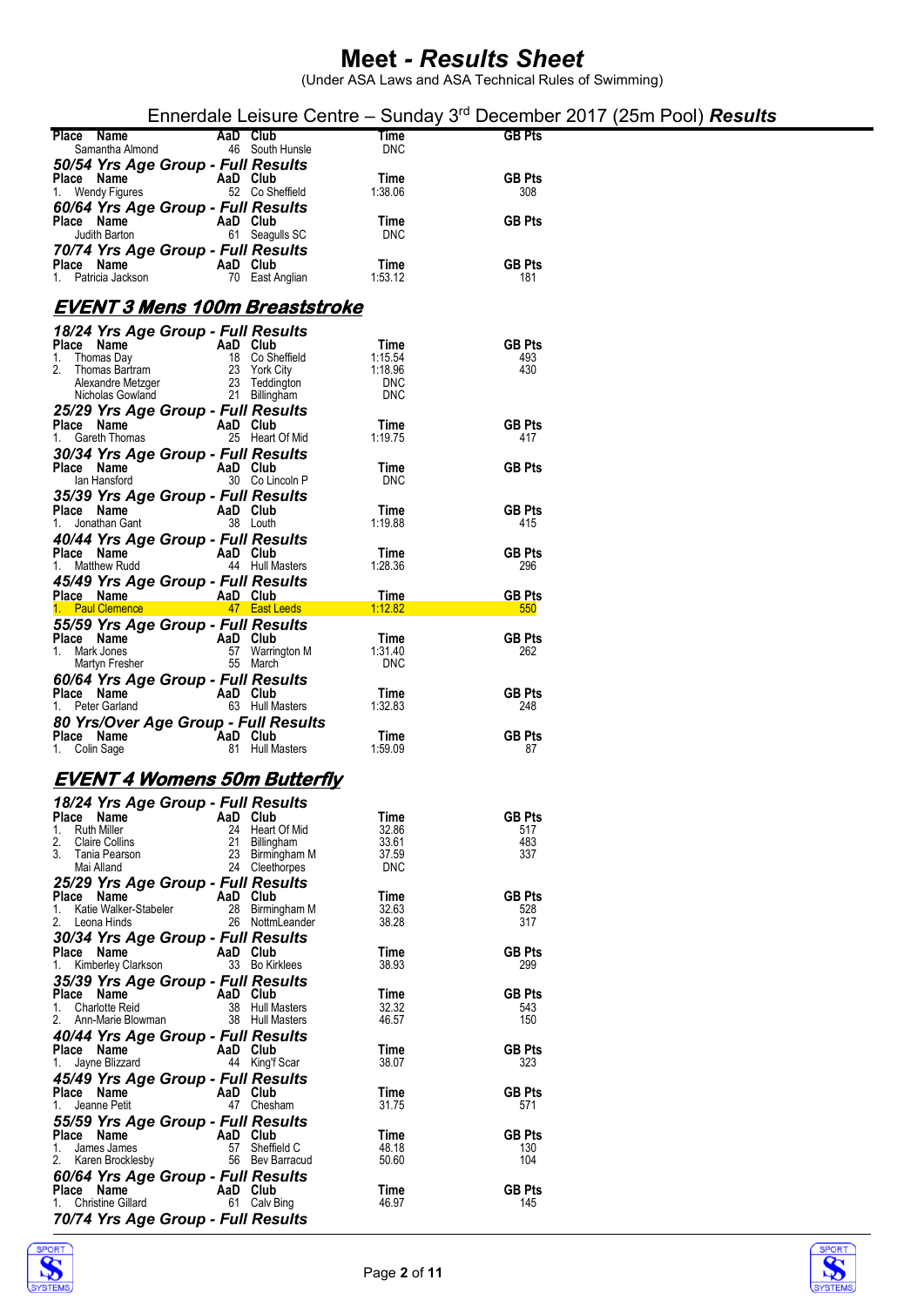|                                                            |                 |                                    |                       |                      | Ennerdale Leisure Centre – Sunday 3 <sup>rd</sup> December 2017 (25m Pool) <b>Results</b> |
|------------------------------------------------------------|-----------------|------------------------------------|-----------------------|----------------------|-------------------------------------------------------------------------------------------|
| Place Name<br>Samantha Almond                              | AaD Club        | 46 South Hunsle                    | Time<br><b>DNC</b>    | <b>GB Pts</b>        |                                                                                           |
| 50/54 Yrs Age Group - Full Results                         |                 |                                    |                       | <b>GB Pts</b>        |                                                                                           |
| Place Name<br>1. Wendy Figures                             | AaD Club        | 52 Co Sheffield                    | Time<br>1.38.06       | 308                  |                                                                                           |
| 60/64 Yrs Age Group - Full Results<br>Place Name           | AaD Club        |                                    | Time                  | <b>GB Pts</b>        |                                                                                           |
| Judith Barton<br>70/74 Yrs Age Group - Full Results        |                 | 61 Seagulls SC                     | <b>DNC</b>            |                      |                                                                                           |
| Place Name<br>1. Patricia Jackson                          | AaD Club        | 70 East Anglian                    | Time<br>1:53.12       | <b>GB Pts</b><br>181 |                                                                                           |
| EVENT 3 Mens 100m Breaststroke                             |                 |                                    |                       |                      |                                                                                           |
| 18/24 Yrs Age Group - Full Results                         |                 |                                    |                       |                      |                                                                                           |
| Place Name<br>Thomas Day<br>1.                             | AaD Club        | 18 Co Sheffield                    | Time<br>1:15.54       | <b>GB Pts</b><br>493 |                                                                                           |
| Thomas Bartram<br>2.<br>Alexandre Metzger                  |                 | 23 York City<br>23 Teddington      | 1:18.96<br><b>DNC</b> | 430                  |                                                                                           |
| Nicholas Gowland                                           |                 | 21 Billingham                      | <b>DNC</b>            |                      |                                                                                           |
| 25/29 Yrs Age Group - Full Results<br>Place Name           | AaD Club        |                                    | Time                  | <b>GB Pts</b>        |                                                                                           |
| 1. Gareth Thomas<br>30/34 Yrs Age Group - Full Results     |                 | 25 Heart Of Mid                    | 1:19.75               | 417                  |                                                                                           |
| Place Name<br>lan Hansford                                 | AaD Club        | 30 Co Lincoln P                    | Time<br><b>DNC</b>    | <b>GB Pts</b>        |                                                                                           |
| 35/39 Yrs Age Group - Full Results                         |                 |                                    |                       |                      |                                                                                           |
| Place Name<br>1. Jonathan Gant                             | AaD Club        | 38 Louth                           | Time<br>1:19.88       | <b>GB Pts</b><br>415 |                                                                                           |
| 40/44 Yrs Age Group - Full Results<br>Place Name           | AaD Club        |                                    | Time                  | <b>GB Pts</b>        |                                                                                           |
| 1. Matthew Rudd                                            |                 | 44 Hull Masters                    | 1:28.36               | 296                  |                                                                                           |
| 45/49 Yrs Age Group - Full Results<br>Place Name           | AaD Club        |                                    | Time                  | <b>GB Pts</b>        |                                                                                           |
| 1. Paul Clemence<br>55/59 Yrs Age Group - Full Results     |                 | 47 East Leeds                      | 1:12.82               | 550                  |                                                                                           |
| Place Name<br>1. Mark Jones                                | AaD Club        | 57 Warrington M                    | Time<br>1.31.40       | <b>GB Pts</b><br>262 |                                                                                           |
| Martyn Fresher                                             |                 | 55 March                           | <b>DNC</b>            |                      |                                                                                           |
| 60/64 Yrs Age Group - Full Results<br>Place Name           | AaD Club        |                                    | Time                  | <b>GB Pts</b>        |                                                                                           |
| 1. Peter Garland<br>80 Yrs/Over Age Group - Full Results   |                 | 63 Hull Masters                    | 1.32.83               | 248                  |                                                                                           |
| Place Name<br>1. Colin Sage                                | <b>AaD Club</b> | 81 Hull Masters                    | Time<br>1:59.09       | <b>GB Pts</b><br>87  |                                                                                           |
|                                                            |                 |                                    |                       |                      |                                                                                           |
| <b>EVENT 4 Womens 50m Butterfly</b>                        |                 |                                    |                       |                      |                                                                                           |
| 18/24 Yrs Age Group - Full Results<br>Place Name           | AaD Club        |                                    | Time                  | <b>GB Pts</b>        |                                                                                           |
| <b>Ruth Miller</b><br>1.<br>2.<br><b>Claire Collins</b>    | 24<br>21        | Heart Of Mid<br>Billingham         | 32.86<br>33.61        | 517<br>483           |                                                                                           |
| 3.<br>Tania Pearson<br>Mai Alland                          | 23              | Birmingham M<br>24 Cleethorpes     | 37.59<br><b>DNC</b>   | 337                  |                                                                                           |
| 25/29 Yrs Age Group - Full Results<br>Place Name           | AaD Club        |                                    | Time                  | <b>GB Pts</b>        |                                                                                           |
| Katie Walker-Stabeler<br>1.<br>2. Leona Hinds              | 28              | Birmingham M<br>26 NottmLeander    | 32.63<br>38.28        | 528<br>317           |                                                                                           |
| 30/34 Yrs Age Group - Full Results                         |                 |                                    |                       |                      |                                                                                           |
| Place Name<br>Kimberley Clarkson<br>1.                     | AaD Club        | 33 Bo Kirklees                     | Time<br>38.93         | <b>GB Pts</b><br>299 |                                                                                           |
| 35/39 Yrs Age Group - Full Results<br>Place Name           | AaD Club        |                                    | Time                  | <b>GB Pts</b>        |                                                                                           |
| 1. Charlotte Reid<br>2. Ann-Marie Blowman                  |                 | 38 Hull Masters<br>38 Hull Masters | 32.32<br>46.57        | 543<br>150           |                                                                                           |
| 40/44 Yrs Age Group - Full Results                         |                 |                                    |                       |                      |                                                                                           |
| Place Name<br>Jayne Blizzard<br>1.                         | AaD Club        | 44 King'f Scar                     | Time<br>38.07         | <b>GB Pts</b><br>323 |                                                                                           |
| 45/49 Yrs Age Group - Full Results<br>Place Name           | AaD Club        |                                    | Time                  | <b>GB Pts</b>        |                                                                                           |
| 1. Jeanne Petit                                            |                 | 47 Chesham                         | 31.75                 | 571                  |                                                                                           |
| 55/59 Yrs Age Group - Full Results<br>Place Name           | AaD Club        |                                    | Time                  | <b>GB Pts</b>        |                                                                                           |
| James James<br>1.<br>2.<br>Karen Brocklesby                |                 | 57 Sheffield C<br>56 Bev Barracud  | 48.18<br>50.60        | 130<br>104           |                                                                                           |
| 60/64 Yrs Age Group - Full Results<br>Place Name           | AaD Club        |                                    | Time                  | <b>GB Pts</b>        |                                                                                           |
| 1. Christine Gillard<br>70/74 Yrs Age Group - Full Results |                 | 61 Calv Bing                       | 46.97                 | 145                  |                                                                                           |
|                                                            |                 |                                    |                       |                      |                                                                                           |



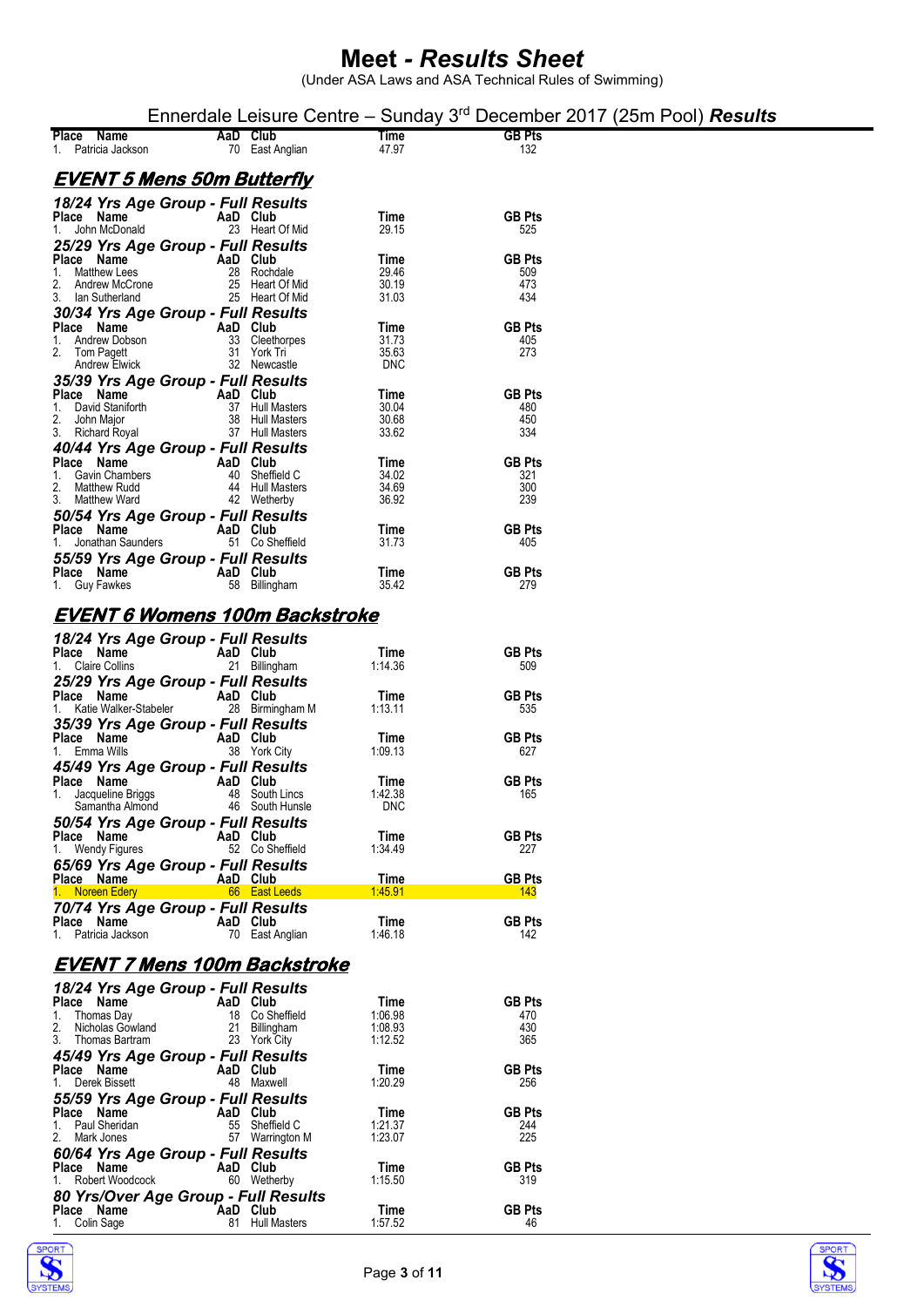|                                                        |          |                                    |                       | Ennerdale Leisure Centre – Sunday $3rd$ December 2017 (25m Pool) <b>Results</b> |  |
|--------------------------------------------------------|----------|------------------------------------|-----------------------|---------------------------------------------------------------------------------|--|
| Place Name<br>1. Patricia Jackson                      | AaD Club | 70 East Anglian                    | Time<br>47.97         | <b>GB Pts</b><br>132                                                            |  |
| <u>EVENT 5 Mens 50m Butterfly</u>                      |          |                                    |                       |                                                                                 |  |
| 18/24 Yrs Age Group - Full Results                     |          |                                    |                       |                                                                                 |  |
| Place Name<br>1. John McDonald                         | AaD Club | 23 Heart Of Mid                    | Time<br>29.15         | <b>GB Pts</b><br>525                                                            |  |
| 25/29 Yrs Age Group - Full Results<br>Place Name       | AaD Club |                                    | Time                  | <b>GB Pts</b>                                                                   |  |
| 1.<br>Matthew Lees                                     |          | 28 Rochdale                        | 29.46                 | 509                                                                             |  |
| 2.<br>Andrew McCrone<br>3. Ian Sutherland              |          | 25 Heart Of Mid<br>25 Heart Of Mid | 30.19<br>31.03        | 473<br>434                                                                      |  |
| 30/34 Yrs Age Group - Full Results                     |          |                                    |                       |                                                                                 |  |
| Place Name<br>1. Andrew Dobson                         | AaD Club | 33 Cleethorpes                     | Time<br>31.73         | <b>GB Pts</b><br>405                                                            |  |
| 2. Tom Pagett<br><b>Andrew Elwick</b>                  |          | 31 York Tri<br>32 Newcastle        | 35.63<br><b>DNC</b>   | 273                                                                             |  |
| 35/39 Yrs Age Group - Full Results                     |          |                                    |                       |                                                                                 |  |
| Place Name<br>1.<br>David Staniforth                   | AaD Club | 37 Hull Masters                    | Time<br>30.04         | <b>GB Pts</b><br>480                                                            |  |
| 2.<br>John Major<br>3.<br><b>Richard Royal</b>         |          | 38 Hull Masters<br>37 Hull Masters | 30.68<br>33.62        | 450<br>334                                                                      |  |
| 40/44 Yrs Age Group - Full Results                     |          |                                    |                       |                                                                                 |  |
| Place Name<br><b>Gavin Chambers</b>                    | AaD Club | 40 Sheffield C                     | Time<br>34.02         | <b>GB Pts</b><br>321                                                            |  |
| 2.<br>Matthew Rudd<br>3. Matthew Ward                  |          | 44 Hull Masters<br>42 Wetherby     | 34.69<br>36.92        | 300<br>239                                                                      |  |
| 50/54 Yrs Age Group - Full Results                     |          |                                    |                       |                                                                                 |  |
| Place Name<br>1. Jonathan Saunders                     | AaD Club | 51 Co Sheffield                    | Time<br>31.73         | <b>GB Pts</b><br>405                                                            |  |
| 55/59 Yrs Age Group - Full Results                     |          |                                    |                       |                                                                                 |  |
| Place Name<br>1. Guy Fawkes                            | AaD Club | 58 Billingham                      | Time<br>35.42         | <b>GB Pts</b><br>279                                                            |  |
| <b>EVENT 6 Womens 100m Backstroke</b>                  |          |                                    |                       |                                                                                 |  |
| 18/24 Yrs Age Group - Full Results                     |          |                                    |                       |                                                                                 |  |
| Place Name<br>1. Claire Collins                        | AaD Club | 21 Billingham                      | Time<br>1:14.36       | <b>GB Pts</b><br>509                                                            |  |
| 25/29 Yrs Age Group - Full Results                     |          |                                    |                       | <b>GB Pts</b>                                                                   |  |
| Place Name<br>1. Katie Walker-Stabeler                 | AaD Club | 28 Birmingham M                    | Time<br>1:13.11       | 535                                                                             |  |
| 35/39 Yrs Age Group - Full Results<br>Place Name       | AaD Club |                                    | Time                  | <b>GB Pts</b>                                                                   |  |
| 1. Emma Wills                                          |          | 38 York City                       | 1:09.13               | 627                                                                             |  |
| 45/49 Yrs Age Group - Full Results<br>Place Name       | AaD Club |                                    | Time                  | <b>GB Pts</b>                                                                   |  |
| 1. Jacqueline Briggs<br>Samantha Almond                |          | 48 South Lincs<br>46 South Hunsle  | 1:42.38<br><b>DNC</b> | 165                                                                             |  |
| 50/54 Yrs Age Group - Full Results                     |          |                                    |                       |                                                                                 |  |
| Place Name<br>1. Wendy Figures                         | AaD Club | 52 Co Sheffield                    | Time<br>1:34.49       | <b>GB Pts</b><br>227                                                            |  |
| 65/69 Yrs Age Group - Full Results                     |          |                                    |                       |                                                                                 |  |
| Place Name<br>1. Noreen Edery                          | AaD Club | 66 East Leeds                      | Time<br>1.45.91       | <b>GB Pts</b><br>143                                                            |  |
| 70/74 Yrs Age Group - Full Results<br>Place Name       | AaD Club |                                    | Time                  | <b>GB Pts</b>                                                                   |  |
| 1. Patricia Jackson                                    |          | 70 East Anglian                    | 1:46.18               | 142                                                                             |  |
| EVENT 7 Mens 100m Backstroke                           |          |                                    |                       |                                                                                 |  |
| 18/24 Yrs Age Group - Full Results<br>Place Name       | AaD Club |                                    | Time                  | <b>GB Pts</b>                                                                   |  |
| 1. Thomas Day                                          |          | 18 Co Sheffield                    | 1:06.98               | 470                                                                             |  |
| 2.<br>Nicholas Gowland<br>3.<br>Thomas Bartram         |          | 21 Billingham<br>23 York City      | 1:08.93<br>1:12.52    | 430<br>365                                                                      |  |
| 45/49 Yrs Age Group - Full Results                     |          |                                    |                       |                                                                                 |  |
| Place Name<br>Derek Bissett<br>1.                      | AaD Club | 48 Maxwell                         | Time<br>1:20.29       | <b>GB Pts</b><br>256                                                            |  |
| 55/59 Yrs Age Group - Full Results<br>Place Name       | AaD Club |                                    | Time                  | <b>GB Pts</b>                                                                   |  |
| Paul Sheridan<br>1.                                    |          | 55 Sheffield C                     | 1:21.37               | 244                                                                             |  |
| Mark Jones<br>2.<br>60/64 Yrs Age Group - Full Results |          | 57 Warrington M                    | 1.23.07               | 225                                                                             |  |
| Place Name<br>Robert Woodcock<br>1.                    | AaD Club | 60 Wetherby                        | Time<br>1:15.50       | <b>GB Pts</b><br>319                                                            |  |
| 80 Yrs/Over Age Group - Full Results                   |          |                                    |                       |                                                                                 |  |
| Place Name<br>1. Colin Sage                            | AaD Club | 81 Hull Masters                    | Time<br>1:57.52       | <b>GB Pts</b><br>46                                                             |  |



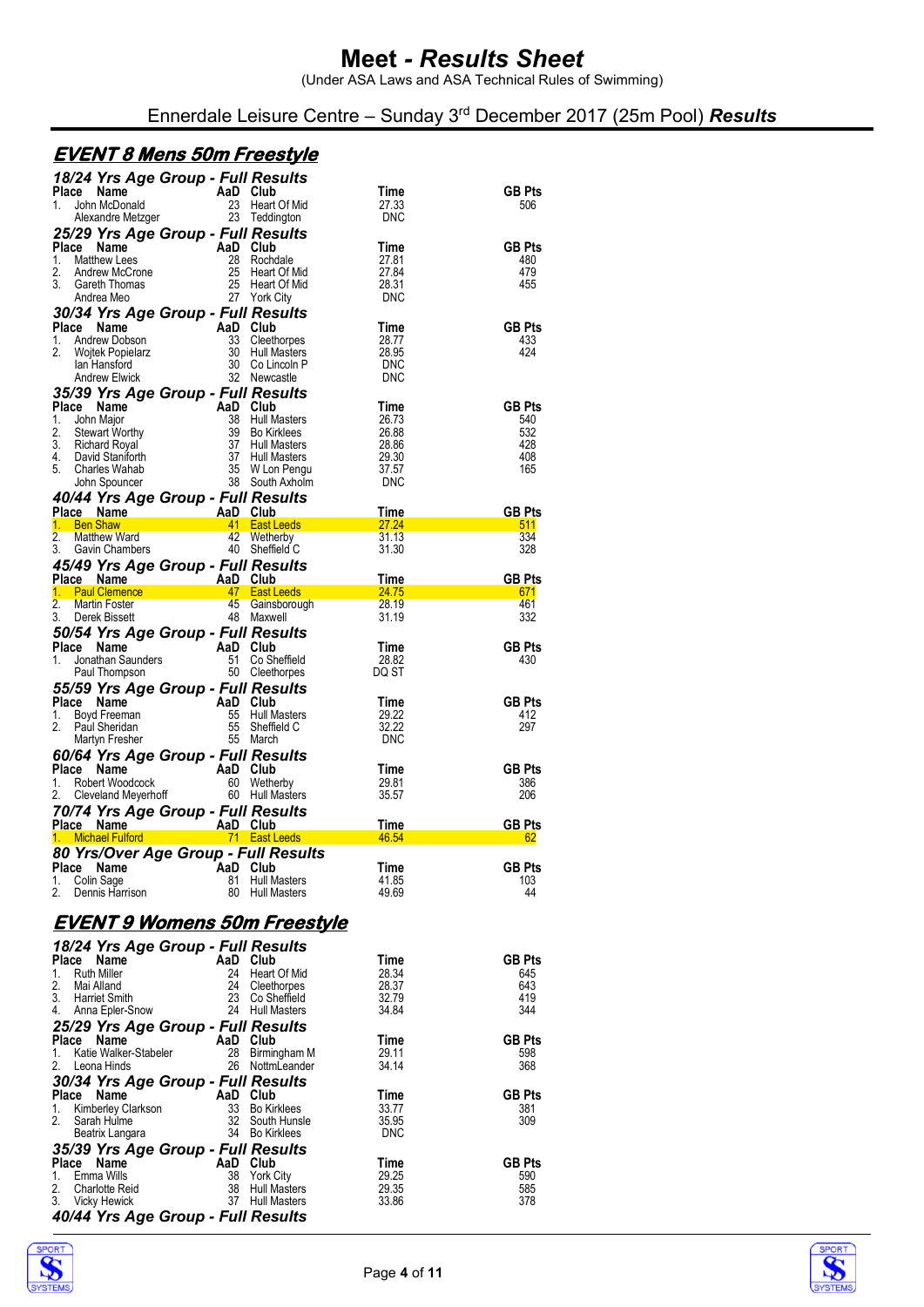(Under ASA Laws and ASA Technical Rules of Swimming)

Ennerdale Leisure Centre – Sunday 3rd December 2017 (25m Pool) *Results*

# **EVENT 8 Mens 50m Freestyle**

| 18/24 Yrs Age Group - Full Results                                                                                                                                                                                                                                                    |                |                                            |                |                      |
|---------------------------------------------------------------------------------------------------------------------------------------------------------------------------------------------------------------------------------------------------------------------------------------|----------------|--------------------------------------------|----------------|----------------------|
| Compared to the Capital City<br>John McDonald<br>Alexandre Metzger 23 Teddington<br>Place                                                                                                                                                                                             |                |                                            | Time           | <b>GB Pts</b>        |
| $1_{-}$                                                                                                                                                                                                                                                                               |                |                                            | 27.33<br>DNC   | 506                  |
|                                                                                                                                                                                                                                                                                       |                |                                            |                |                      |
| 25/29 Yrs Age Group - Full Results                                                                                                                                                                                                                                                    |                |                                            | Time           | <b>GB Pts</b>        |
|                                                                                                                                                                                                                                                                                       |                |                                            | 27.81          | 480                  |
|                                                                                                                                                                                                                                                                                       |                |                                            | 27.84          | 479                  |
|                                                                                                                                                                                                                                                                                       |                |                                            | 28.31          | 455                  |
| 23/29 TTS Age Strong<br>Place Name AaD Club<br>2. Andrew McCrone 25 Heart Of Mid<br>3. Gareth Thomas 25 Heart Of Mid<br>Andrea Meo 27 Tork City                                                                                                                                       |                |                                            | DNC            |                      |
| 30/34 Yrs Age Group - Full Results                                                                                                                                                                                                                                                    |                |                                            |                |                      |
| Place Name                                                                                                                                                                                                                                                                            |                |                                            | Time           | <b>GB Pts</b>        |
| 1.<br>2.                                                                                                                                                                                                                                                                              |                |                                            | 28.77          | 433<br>424           |
|                                                                                                                                                                                                                                                                                       |                |                                            | 28.95<br>DNC   |                      |
| Ce Name AaD Club<br>Andrew Dobson<br>Wojtek Popielarz 30 Hull Masters<br>Lan Hansford 30 Co Lincoln P<br>Andrew Elwick 32 Newcastle                                                                                                                                                   |                |                                            | DNC            |                      |
| 35/39 Yrs Age Group - Full Results                                                                                                                                                                                                                                                    |                |                                            |                |                      |
|                                                                                                                                                                                                                                                                                       |                |                                            |                | <b>GB Pts</b>        |
|                                                                                                                                                                                                                                                                                       |                |                                            |                | 540<br>532           |
|                                                                                                                                                                                                                                                                                       |                |                                            |                | 428                  |
|                                                                                                                                                                                                                                                                                       |                |                                            |                | 408                  |
|                                                                                                                                                                                                                                                                                       |                |                                            |                | 165                  |
| 35/39 TTS Age Group - Furnives Correspondent Correspondent Correspondent Correspondent Correspondent Correspondent Correspondent Correspondent Correspondent Correspondent Correspondent Correspondent Correspondent Correspon<br>Jonn Spourner<br>40/44 Yrs Age Group - Full Results |                |                                            |                |                      |
|                                                                                                                                                                                                                                                                                       |                |                                            |                |                      |
|                                                                                                                                                                                                                                                                                       |                |                                            |                | <b>GB Pts</b>        |
|                                                                                                                                                                                                                                                                                       |                |                                            |                | 511<br>334           |
| Place Name AaD Club Time<br>1. Ben Shaw 41 East Leeds 27.24<br>2. Matthew Ward 42 Wetherby 31.13<br>3. Gavin Chambers 40 Sheffield C 31.30                                                                                                                                            |                |                                            |                | 328                  |
| 45/49 Yrs Age Group - Full Results                                                                                                                                                                                                                                                    |                |                                            |                |                      |
| Place Name AaD Club Time<br>1. Paul Clemence AaD Club Time<br>2. Martin Foster 45 Gainsborough 28.19<br>3. Derek Bissett 48 Maxwell 31.19                                                                                                                                             |                |                                            |                | <b>GB Pts</b>        |
|                                                                                                                                                                                                                                                                                       |                |                                            |                | 671                  |
|                                                                                                                                                                                                                                                                                       |                |                                            |                | 461                  |
|                                                                                                                                                                                                                                                                                       |                |                                            |                | 332                  |
|                                                                                                                                                                                                                                                                                       |                |                                            | Time           | <b>GB Pts</b>        |
|                                                                                                                                                                                                                                                                                       |                |                                            | 28.82          | 430                  |
| <b>50/54 Yrs Age Group - Full Results<br/> Place Name AaD Club<br/> 1. Jonathan Saunders 51 Co Sheffield<br/> Paul Thompson 50 Cleethorpes</b>                                                                                                                                        |                |                                            | DQ ST          |                      |
| 55/59 Yrs Age Group - Full Results                                                                                                                                                                                                                                                    |                |                                            |                |                      |
| Place Name<br>Example 2014<br>Boyd Freeman<br>Martin Freehold C<br>Martin Freehold C<br>Martin Freehold C<br>Martin Freehold C<br>Martin Freehold C<br>The Martin State Martin Contract Contract Contract Contract Contract Contract Contract Contract Con                            |                |                                            | Time           | <b>GB Pts</b>        |
| 1.                                                                                                                                                                                                                                                                                    |                |                                            | 29.22          | 412                  |
| 2.                                                                                                                                                                                                                                                                                    |                |                                            | 32.22          | 297                  |
| Martyn Fresher                                                                                                                                                                                                                                                                        |                | 55 March                                   | DNC            |                      |
| <b>60/64 Yrs Age Group - Full Results<br/> Place Name AaD Club<br/> 1. Robert Woodcock 60 Wetherby<br/> 2. Cleveland Meyerhoff 60 Hull Masters</b>                                                                                                                                    |                |                                            |                |                      |
|                                                                                                                                                                                                                                                                                       |                |                                            | Time<br>29.81  | <b>GB Pts</b><br>386 |
|                                                                                                                                                                                                                                                                                       |                |                                            | 35.57          | 206                  |
|                                                                                                                                                                                                                                                                                       |                |                                            |                |                      |
|                                                                                                                                                                                                                                                                                       |                |                                            |                | <b>GB Pts</b>        |
| <b>70/74 Yrs Age Group - Full Results<br/> Place Name AaD Club Time<br/> 1. Michael Fulford 1. The True Club Club A6.54</b>                                                                                                                                                           |                |                                            |                | 62                   |
| 80 Yrs/Over Age Group - Full Results                                                                                                                                                                                                                                                  |                |                                            |                |                      |
| Place Name TaaD Club                                                                                                                                                                                                                                                                  |                |                                            | <b>Time</b>    | <b>GB Pts</b>        |
| 1.<br>Colin Sage<br>2.<br>Dennis Harrison                                                                                                                                                                                                                                             | 81<br>80       | <b>Hull Masters</b><br><b>Hull Masters</b> | 41.85<br>49.69 | 103<br>44            |
|                                                                                                                                                                                                                                                                                       |                |                                            |                |                      |
| <u>EVENT 9 Womens 50m Freestyle</u>                                                                                                                                                                                                                                                   |                |                                            |                |                      |
|                                                                                                                                                                                                                                                                                       |                |                                            |                |                      |
| 18/24 Yrs Age Group - Full Results                                                                                                                                                                                                                                                    |                |                                            |                |                      |
| Place Name<br><b>Ruth Miller</b><br>1.                                                                                                                                                                                                                                                | AaD Club<br>24 | Heart Of Mid                               | Time<br>28.34  | <b>GB Pts</b><br>645 |
| 2.<br>Mai Alland                                                                                                                                                                                                                                                                      | 24             | Cleethorpes                                | 28.37          | 643                  |
| 3.<br><b>Harriet Smith</b>                                                                                                                                                                                                                                                            | 23             | Co Sheffield                               | 32.79          | 419                  |
| 4.<br>Anna Epler-Snow                                                                                                                                                                                                                                                                 |                | 24 Hull Masters                            | 34.84          | 344                  |
| 25/29 Yrs Age Group - Full Results                                                                                                                                                                                                                                                    |                |                                            |                |                      |
| Place<br>Name                                                                                                                                                                                                                                                                         | AaD            | Club                                       | Time           | <b>GB Pts</b>        |
| 1.<br>Katie Walker-Stabeler<br>2.<br>Leona Hinds                                                                                                                                                                                                                                      | 28             | Birmingham M<br>26 NottmLeander            | 29.11<br>34.14 | 598<br>368           |
|                                                                                                                                                                                                                                                                                       |                |                                            |                |                      |
| 30/34 Yrs Age Group - Full Results<br>Place<br>Name                                                                                                                                                                                                                                   | AaD            | Club                                       | Time           | <b>GB Pts</b>        |
| Kimberley Clarkson<br>1.                                                                                                                                                                                                                                                              | 33             | <b>Bo Kirklees</b>                         | 33.77          | 381                  |
| 2.<br>Sarah Hulme                                                                                                                                                                                                                                                                     | 32             | South Hunsle                               | 35.95          | 309                  |
| Beatrix Langara                                                                                                                                                                                                                                                                       |                | 34 Bo Kirklees                             | <b>DNC</b>     |                      |
| 35/39 Yrs Age Group - Full Results                                                                                                                                                                                                                                                    |                |                                            |                |                      |
| <b>Place</b><br>Name                                                                                                                                                                                                                                                                  | AaD            | Club                                       | Time           | <b>GB Pts</b>        |
| Emma Wills<br>1.<br>2.<br><b>Charlotte Reid</b>                                                                                                                                                                                                                                       | 38<br>38       | York City<br>Hull Masters                  | 29.25<br>29.35 | 590<br>585           |
| 3.<br><b>Vicky Hewick</b>                                                                                                                                                                                                                                                             |                | <b>Hull Masters</b>                        | 33.86          | 378                  |
|                                                                                                                                                                                                                                                                                       | 37             |                                            |                |                      |
| 40/44 Yrs Age Group - Full Results                                                                                                                                                                                                                                                    |                |                                            |                |                      |



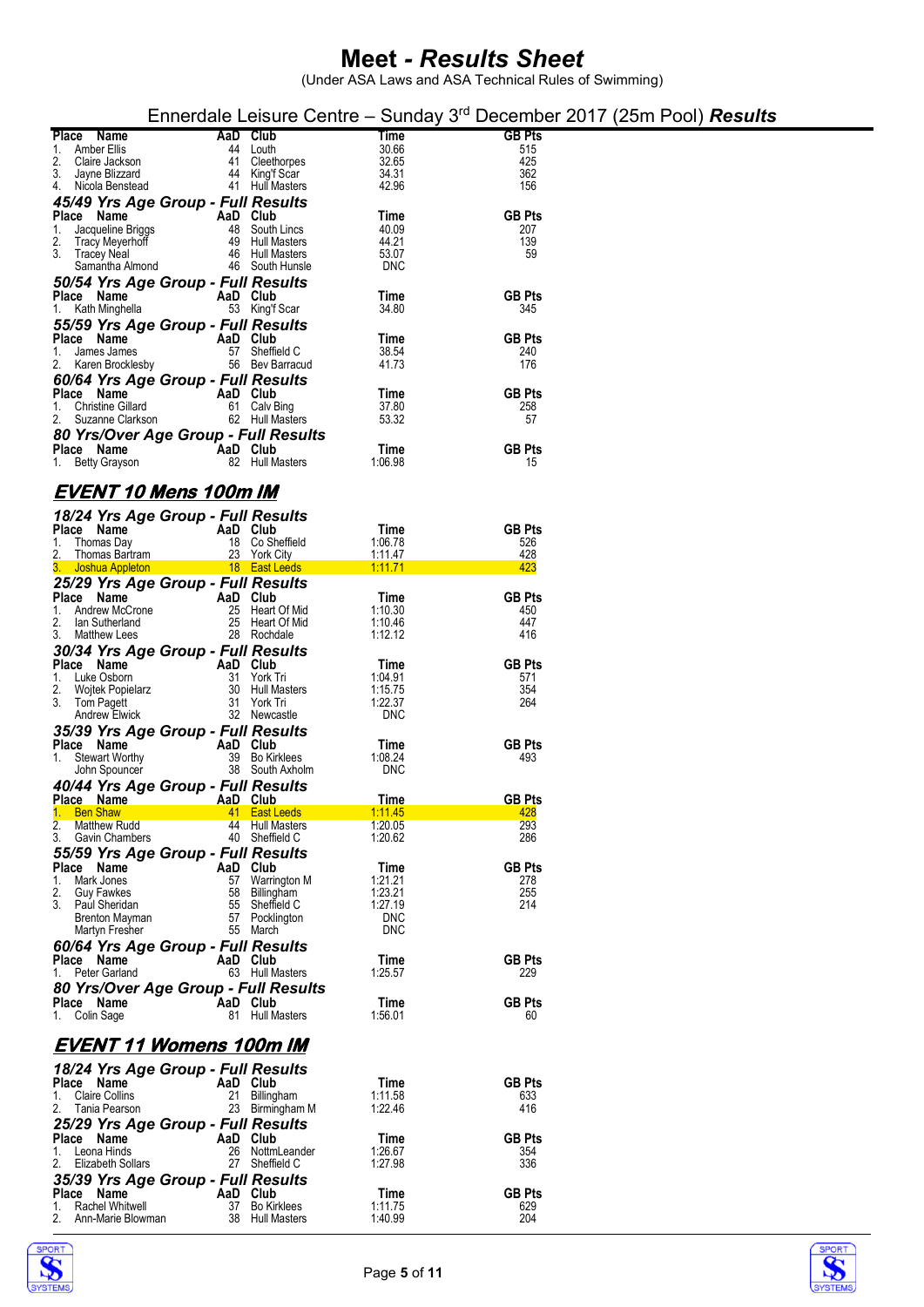|                                                  |                                |                    | Ennerdale Leisure Centre – Sunday $3rd$ December 2017 (25m Pool) <b>Results</b> |
|--------------------------------------------------|--------------------------------|--------------------|---------------------------------------------------------------------------------|
| Place Name                                       | AaD Club                       | Time               | <b>GB Pts</b>                                                                   |
| <b>Amber Ellis</b><br>44<br>1.                   | Louth                          | 30.66              | 515                                                                             |
| 2.<br>Claire Jackson<br>41                       | Cleethorpes                    | 32.65              | 425                                                                             |
| 3.<br>Jayne Blizzard<br>44<br>4. Nicola Benstead | King'f Scar<br>41 Hull Masters | 34.31<br>42.96     | 362<br>156                                                                      |
|                                                  |                                |                    |                                                                                 |
| 45/49 Yrs Age Group - Full Results<br>Place Name | AaD Club                       | Time               | <b>GB Pts</b>                                                                   |
| 48<br>1.<br>Jacqueline Briggs                    | South Lincs                    | 40.09              | 207                                                                             |
| 2.<br>49<br>Tracy Meyerhoff                      | <b>Hull Masters</b>            | 44.21              | 139                                                                             |
| 3.<br>Tracey Neal                                | 46 Hull Masters                | 53.07              | 59                                                                              |
| Samantha Almond                                  | 46 South Hunsle                | <b>DNC</b>         |                                                                                 |
| 50/54 Yrs Age Group - Full Results               |                                |                    |                                                                                 |
| Place Name                                       | AaD Club                       | Time               | <b>GB Pts</b>                                                                   |
| 1.<br>Kath Minghella                             | 53 King'f Scar                 | 34.80              | 345                                                                             |
| 55/59 Yrs Age Group - Full Results               |                                |                    | <b>GB Pts</b>                                                                   |
| Place Name<br>1.<br>James James                  | AaD Club<br>57 Sheffield C     | Time<br>38.54      | 240                                                                             |
| 2.<br>Karen Brocklesby                           | 56 Bev Barracud                | 41.73              | 176                                                                             |
| 60/64 Yrs Age Group - Full Results               |                                |                    |                                                                                 |
| Place Name                                       | AaD Club                       | Time               | <b>GB Pts</b>                                                                   |
| <b>Christine Gillard</b><br>1.                   | 61 Calv Bing                   | 37.80              | 258                                                                             |
| 2.<br>Suzanne Clarkson                           | 62 Hull Masters                | 53.32              | 57                                                                              |
| 80 Yrs/Over Age Group - Full Results             |                                |                    |                                                                                 |
| Place Name                                       | AaD Club                       | Time               | <b>GB Pts</b>                                                                   |
| 1.<br>Betty Grayson                              | 82 Hull Masters                | 1:06.98            | 15                                                                              |
| EVENT 10 Mens 100m IM                            |                                |                    |                                                                                 |
|                                                  |                                |                    |                                                                                 |
| 18/24 Yrs Age Group - Full Results<br>Place Name | AaD Club                       | Time               | <b>GB Pts</b>                                                                   |
| 1.<br>Thomas Day                                 | 18 Co Sheffield                | 1:06.78            | 526                                                                             |
| 2.<br>Thomas Bartram                             | 23 York City                   | 1:11.47            | 428                                                                             |
| 3. Joshua Appleton                               | 18 East Leeds                  | 1:11.71            | 423                                                                             |
| 25/29 Yrs Age Group - Full Results               |                                |                    |                                                                                 |
| Place Name                                       | AaD Club                       | Time               | <b>GB Pts</b>                                                                   |
| Andrew McCrone<br>25<br>1.                       | Heart Of Mid                   | 1:10.30            | 450                                                                             |
| 2.<br>25<br>lan Sutherland<br>3.<br>Matthew Lees | Heart Of Mid<br>28 Rochdale    | 1:10.46<br>1:12.12 | 447<br>416                                                                      |
| 30/34 Yrs Age Group - Full Results               |                                |                    |                                                                                 |
| Place Name                                       | AaD Club                       | Time               | <b>GB Pts</b>                                                                   |
| Luke Osborn<br>1.                                | 31 York Tri                    | 1:04.91            | 571                                                                             |
| 2.<br>Wojtek Popielarz                           | 30 Hull Masters                | 1:15.75            | 354                                                                             |
| 3.<br>Tom Pagett                                 | 31 York Tri                    | 1:22.37            | 264                                                                             |
| <b>Andrew Elwick</b>                             | 32 Newcastle                   | <b>DNC</b>         |                                                                                 |
| 35/39 Yrs Age Group - Full Results<br>Place Name | AaD Club                       | Time               | <b>GB Pts</b>                                                                   |
| 39<br><b>Stewart Worthy</b><br>1.                | <b>Bo Kirklees</b>             | 1:08.24            | 493                                                                             |
| John Spouncer                                    | 38 South Axholm                | DNC                |                                                                                 |
| 40/44 Yrs Age Group - Full Results               |                                |                    |                                                                                 |
| Place Name                                       | AaD Club                       | Time               | <b>GB Pts</b>                                                                   |
| 1.<br><b>Ben Shaw</b>                            | 41 East Leeds                  | <u>1:11.45</u>     | 428                                                                             |
| 2.<br>Matthew Rudd                               | 44 Hull Masters                | 1:20.05            | 293                                                                             |
| 3.<br>Gavin Chambers                             | 40 Sheffield C                 | 1:20.62            | 286                                                                             |
| 55/59 Yrs Age Group - Full Results               |                                |                    | <b>GB Pts</b>                                                                   |
| Place Name<br>Mark Jones<br>57<br>1.             | AaD Club<br>Warrington M       | Time<br>1:21.21    | 278                                                                             |
| 2.<br><b>Guy Fawkes</b><br>58                    | Billingham                     | 1:23.21            | 255                                                                             |
| 3.<br>55<br>Paul Sheridan                        | Sheffield C                    | 1:27.19            | 214                                                                             |
| 57<br>Brenton Mayman                             | Pocklington                    | <b>DNC</b>         |                                                                                 |
| Martyn Fresher<br>55                             | March                          | <b>DNC</b>         |                                                                                 |
| 60/64 Yrs Age Group - Full Results<br>Place Name | AaD Club                       | Time               | <b>GB Pts</b>                                                                   |
| Peter Garland<br>1.                              | 63 Hull Masters                | 1:25.57            | 229                                                                             |
| 80 Yrs/Over Age Group - Full Results             |                                |                    |                                                                                 |
| Place Name                                       | AaD Club                       | Time               | <b>GB Pts</b>                                                                   |
| 1. Colin Sage                                    | 81 Hull Masters                | 1:56.01            | 60                                                                              |
| EVENT 11 Womens 100m IM                          |                                |                    |                                                                                 |
|                                                  |                                |                    |                                                                                 |
| 18/24 Yrs Age Group - Full Results<br>Place Name | AaD Club                       | Time               | <b>GB Pts</b>                                                                   |
| <b>Claire Collins</b><br>21<br>1.                | Billingham                     | 1:11.58            | 633                                                                             |
| Tania Pearson<br>2.                              | 23 Birmingham M                | 1:22.46            | 416                                                                             |
| 25/29 Yrs Age Group - Full Results               |                                |                    |                                                                                 |
| Place Name                                       | AaD Club                       | Time               | <b>GB Pts</b>                                                                   |
| 26<br>1.<br>Leona Hinds                          | NottmLeander                   | 1:26.67            | 354                                                                             |
| 27<br>2.<br>Elizabeth Sollars                    | Sheffield C                    | 1:27.98            | 336                                                                             |
| 35/39 Yrs Age Group - Full Results               |                                |                    |                                                                                 |
| Place Name<br>Rachel Whitwell<br>37<br>1.        | AaD Club<br>Bo Kirklees        | Time<br>1:11.75    | <b>GB Pts</b><br>629                                                            |
| 2.<br>Ann-Marie Blowman                          | 38 Hull Masters                | 1:40.99            | 204                                                                             |



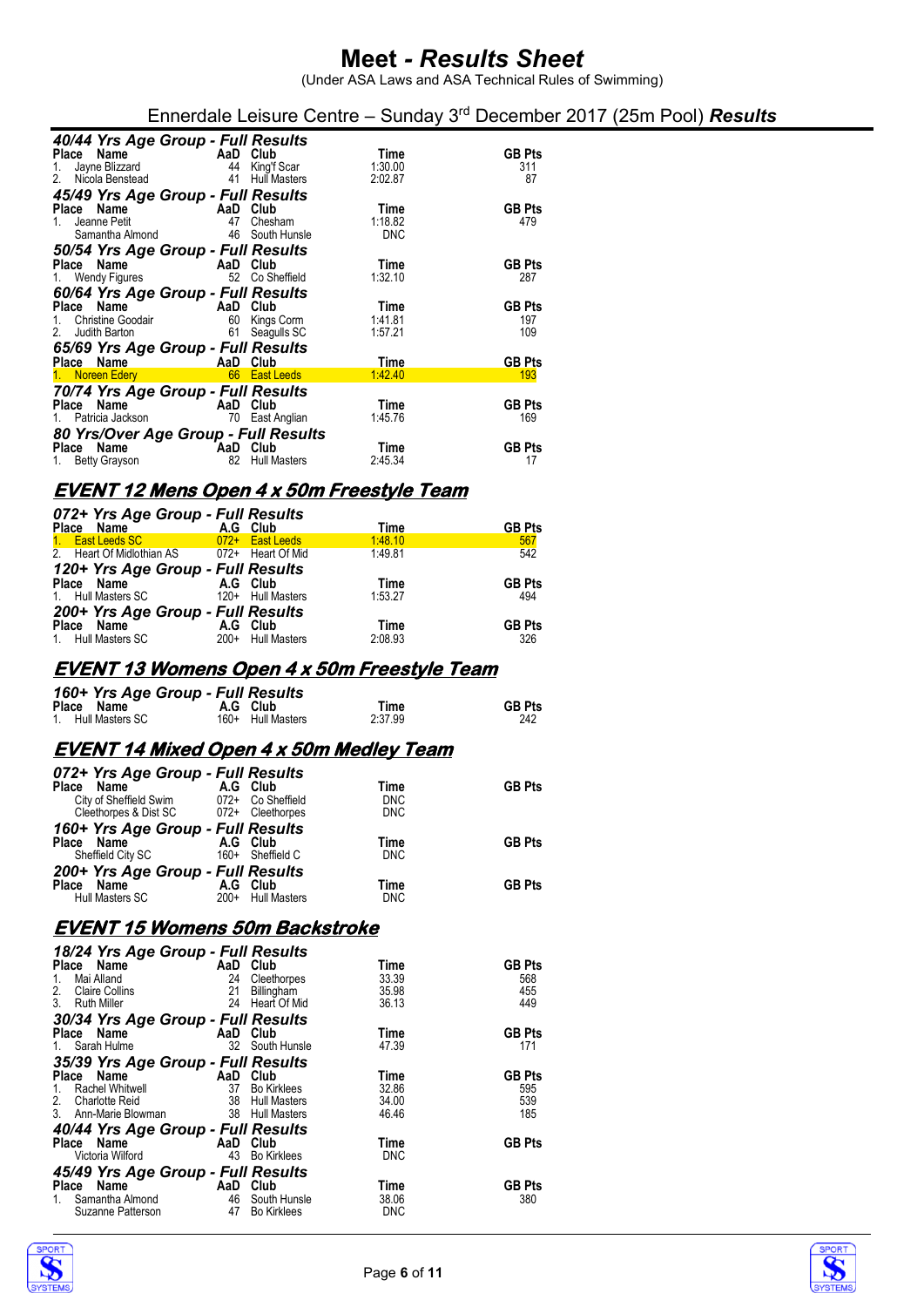(Under ASA Laws and ASA Technical Rules of Swimming)

Ennerdale Leisure Centre – Sunday 3rd December 2017 (25m Pool) *Results*

| 40/44 Yrs Age Group - Full Results                                                                                                                                                                                                                      |  |                                                                                                                      |            |               |  |
|---------------------------------------------------------------------------------------------------------------------------------------------------------------------------------------------------------------------------------------------------------|--|----------------------------------------------------------------------------------------------------------------------|------------|---------------|--|
| <b>Place Name Care AaD Club</b><br>1. Jayne Blizzard <b>A</b> A King'f Scar                                                                                                                                                                             |  |                                                                                                                      | Time       | <b>GB Pts</b> |  |
|                                                                                                                                                                                                                                                         |  |                                                                                                                      | 1:30.00    | 311           |  |
| 2. Nicola Benstead  41 Hull Masters                                                                                                                                                                                                                     |  |                                                                                                                      | 2:02.87    | 87            |  |
| 45/49 Yrs Age Group - Full Results                                                                                                                                                                                                                      |  |                                                                                                                      |            |               |  |
| <b>Place Name</b><br>1. Jeanne Petit <b>AaD</b> Club<br>47 Chesh                                                                                                                                                                                        |  |                                                                                                                      | Time       | <b>GB Pts</b> |  |
|                                                                                                                                                                                                                                                         |  | Chesham                                                                                                              | 1:18.82    | 479           |  |
| Samantha Almond 46 South Hunsle                                                                                                                                                                                                                         |  |                                                                                                                      | <b>DNC</b> |               |  |
| 50/54 Yrs Age Group - Full Results                                                                                                                                                                                                                      |  |                                                                                                                      |            |               |  |
| <b>Place Name AaD Club</b><br>1. Wendy Figures 62 Co Sheffield                                                                                                                                                                                          |  |                                                                                                                      | Time       | <b>GB Pts</b> |  |
|                                                                                                                                                                                                                                                         |  |                                                                                                                      | 1:32.10    | 287           |  |
| 60/64 Yrs Age Group - Full Results                                                                                                                                                                                                                      |  |                                                                                                                      |            |               |  |
| <b>Place Name</b><br>1. Christine Goodair<br>1. Christine Goodair<br>1. Christine Goodair<br>1. Christine Goodair<br>1. Christine Goodair<br>1. Christine Goodair<br>1. Christine Goodair<br>1. Christine Goodair<br>1. Christine Goodair<br>1. Christi |  |                                                                                                                      | Time       | <b>GB Pts</b> |  |
|                                                                                                                                                                                                                                                         |  |                                                                                                                      | 1:41.81    | 197           |  |
| Judith Barton 61<br>2.                                                                                                                                                                                                                                  |  | Seagulls SC                                                                                                          | 1:57.21    | 109           |  |
| 65/69 Yrs Age Group - Full Results                                                                                                                                                                                                                      |  |                                                                                                                      |            |               |  |
| <b>Example 2</b> AaD Club<br>Place Name                                                                                                                                                                                                                 |  |                                                                                                                      | Time       | <b>GB Pts</b> |  |
| 1. Noreen Edery                                                                                                                                                                                                                                         |  | <b>1999 - 1999 - 1999 - 1999 - 1999 - 1999 - 1999 - 1999 - 1999 - 1999 - 1999 - 1999 - 1999 - 1999 - 1999 - 1999</b> | 1:42.40    | 193           |  |
| 70/74 Yrs Age Group - Full Results                                                                                                                                                                                                                      |  |                                                                                                                      |            |               |  |
| <b>Place Name</b><br>1. Patricia Jackson<br>1. Patricia Jackson<br>1. Patricia Jackson<br>1. Patricia Jackson<br>1. Patricia Jackson<br>1. Patricia Jackson<br>1. Patricia Jackson<br>1. Patricia Jackson<br>1. Patricia Jackson<br>1. Patricia Jackson |  |                                                                                                                      | Time       | <b>GB Pts</b> |  |
|                                                                                                                                                                                                                                                         |  |                                                                                                                      | 1:45.76    | 169           |  |
| 80 Yrs/Over Age Group - Full Results                                                                                                                                                                                                                    |  |                                                                                                                      |            |               |  |
| AaD Club<br>Place Name                                                                                                                                                                                                                                  |  |                                                                                                                      | Time       | <b>GB Pts</b> |  |
| 1. Betty Grayson 82                                                                                                                                                                                                                                     |  | <b>Hull Masters</b>                                                                                                  | 2:45.34    | 17            |  |

### **EVENT 12 Mens Open 4 x 50m Freestyle Team**

| 072+ Yrs Age Group - Full Results           |  |                   |         |               |  |  |
|---------------------------------------------|--|-------------------|---------|---------------|--|--|
| Place Name                                  |  | A.G Club          | Time    | <b>GB Pts</b> |  |  |
| 1. East Leeds SC                            |  | 072+ East Leeds   | 1:48.10 | 567           |  |  |
| 2. Heart Of Midlothian AS 072+ Heart Of Mid |  |                   | 1:49.81 | 542           |  |  |
| 120+ Yrs Age Group - Full Results           |  |                   |         |               |  |  |
| Place Name                                  |  | A.G Club          | Time    | <b>GB Pts</b> |  |  |
| 1. Hull Masters SC                          |  | 120+ Hull Masters | 1:53.27 | 494           |  |  |
| 200+ Yrs Age Group - Full Results           |  |                   |         |               |  |  |
| Place Name                                  |  | A.G Club          | Time    | <b>GB Pts</b> |  |  |
| 1. Hull Masters SC                          |  | 200+ Hull Masters | 2:08.93 | 326           |  |  |
|                                             |  |                   |         |               |  |  |

#### **EVENT 13 Womens Open 4 x 50m Freestyle Team**

| 160+ Yrs Age Group - Full Results |                   |         |               |
|-----------------------------------|-------------------|---------|---------------|
| Place Name                        | A.G Club          | Time    | <b>GB Pts</b> |
| 1. Hull Masters SC                | 160+ Hull Masters | 2.37.99 | 242           |

#### **EVENT 14 Mixed Open 4 x 50m Medley Team**

| 072+ Yrs Age Group - Full Results<br>Place Name<br>City of Sheffield Swim<br>Cleethorpes & Dist SC 072+ Cleethorpes | A.G Club<br>072+ Co Sheffield      | Time<br><b>DNC</b><br><b>DNC</b> | <b>GB Pts</b> |
|---------------------------------------------------------------------------------------------------------------------|------------------------------------|----------------------------------|---------------|
| 160+ Yrs Age Group - Full Results<br>Place Name<br>Sheffield City SC                                                | A.G Club<br>160+ Sheffield C       | Time<br><b>DNC</b>               | <b>GB Pts</b> |
| 200+ Yrs Age Group - Full Results<br>Place<br>Name<br>Hull Masters SC                                               | A.G Club<br>$200+$<br>Hull Masters | Time<br><b>DNC</b>               | <b>GB Pts</b> |

### **EVENT 15 Womens 50m Backstroke**

| 18/24 Yrs Age Group - Full Results                                                                                                                                                                                                            |          |                     |             |               |  |
|-----------------------------------------------------------------------------------------------------------------------------------------------------------------------------------------------------------------------------------------------|----------|---------------------|-------------|---------------|--|
| Place Name                                                                                                                                                                                                                                    | AaD Club |                     | Time        | <b>GB Pts</b> |  |
| $1_{-}$<br>Mai Alland                                                                                                                                                                                                                         | 24       | Cleethorpes         | 33.39       | 568           |  |
| 2.<br><b>Claire Collins</b>                                                                                                                                                                                                                   | 21       | Billingham          | 35.98       | 455           |  |
| 3 <sub>1</sub><br><b>Ruth Miller</b>                                                                                                                                                                                                          |          | 24 Heart Of Mid     | 36.13       | 449           |  |
| 30/34 Yrs Age Group - Full Results                                                                                                                                                                                                            |          |                     |             |               |  |
| Place Name AaD Club                                                                                                                                                                                                                           |          |                     | Time        | <b>GB Pts</b> |  |
| 1. Sarah Hulme                                                                                                                                                                                                                                |          | 32 South Hunsle     | 47.39       | 171           |  |
| 35/39 Yrs Age Group - Full Results                                                                                                                                                                                                            |          |                     |             |               |  |
| <b>Example 2</b> AaD Club<br>Place Name                                                                                                                                                                                                       |          |                     | <b>Time</b> | <b>GB Pts</b> |  |
| Rachel Whitwell<br>$1_{-}$                                                                                                                                                                                                                    | 37       | Bo Kirklees         | 32.86       | 595           |  |
| 2. Charlotte Reid 38                                                                                                                                                                                                                          |          | <b>Hull Masters</b> | 34.00       | 539           |  |
| 3. Ann-Marie Blowman                                                                                                                                                                                                                          |          | 38 Hull Masters     | 46.46       | 185           |  |
| 40/44 Yrs Age Group - Full Results<br>Place Name AaD Club                                                                                                                                                                                     |          |                     |             |               |  |
|                                                                                                                                                                                                                                               |          |                     | Time        | <b>GB Pts</b> |  |
| Victoria Wilford                                                                                                                                                                                                                              | 43       | <b>Bo Kirklees</b>  | <b>DNC</b>  |               |  |
| 45/49 Yrs Age Group - Full Results                                                                                                                                                                                                            |          |                     |             |               |  |
| and the set of the set of the set of the set of the set of the set of the set of the set of the set of the set<br>Set of the set of the set of the set of the set of the set of the set of the set of the set of the set of the<br>Place Name |          | Club                | Time        | <b>GB Pts</b> |  |
| Samantha Almond 46 South Hunsle<br>1                                                                                                                                                                                                          |          |                     | 38.06       | 380           |  |
| 47<br>Suzanne Patterson                                                                                                                                                                                                                       |          | <b>Bo Kirklees</b>  | <b>DNC</b>  |               |  |
|                                                                                                                                                                                                                                               |          |                     |             |               |  |



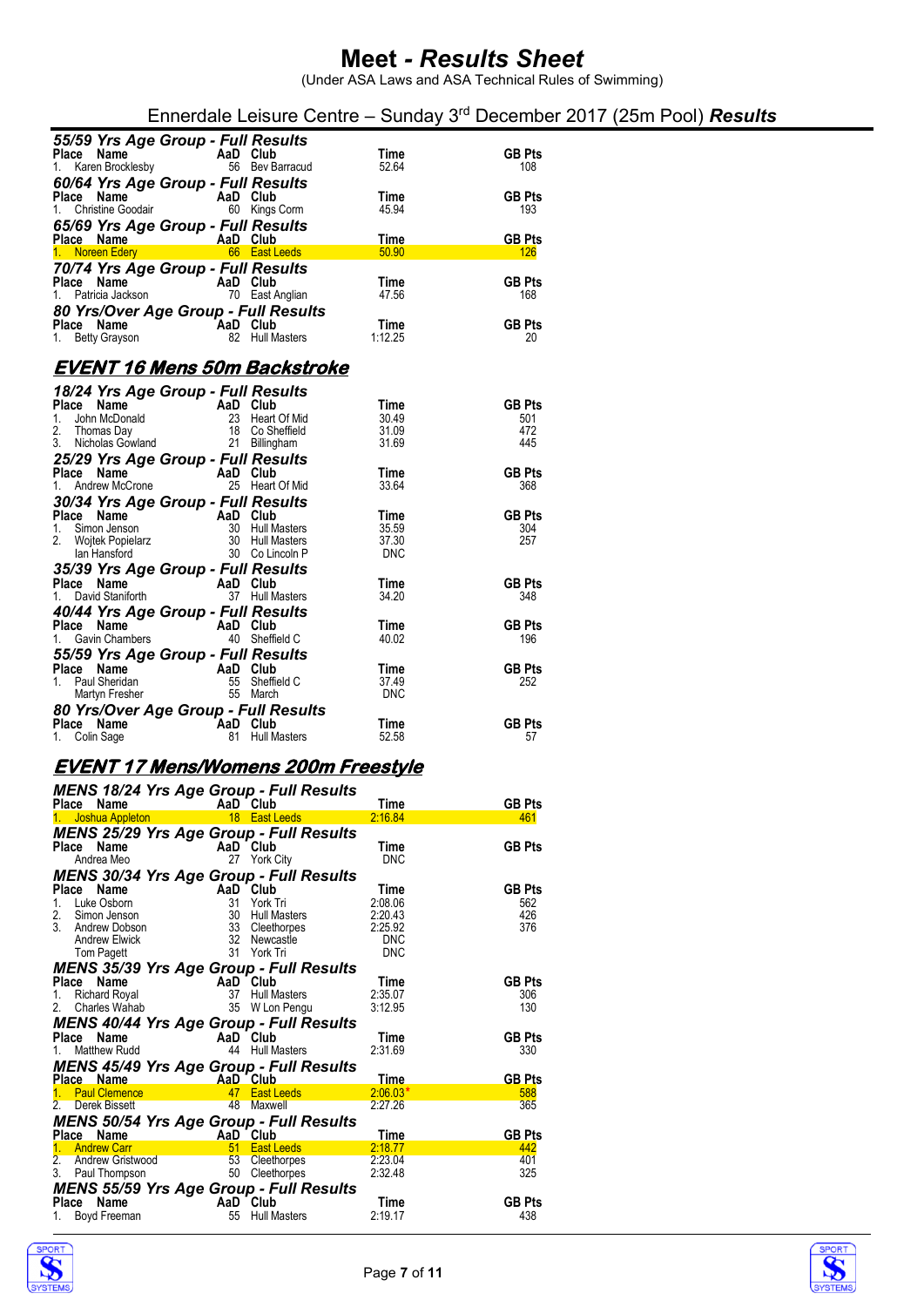|                                                                               |                                    |                     | Ennerdale Leisure Centre - Sunday 3 <sup>rd</sup> December 2017 (25m Pool) <b>Results</b> |  |
|-------------------------------------------------------------------------------|------------------------------------|---------------------|-------------------------------------------------------------------------------------------|--|
| 55/59 Yrs Age Group - Full Results<br>Place Name<br>1. Karen Brocklesby       | AaD Club<br>56 Bev Barracud        | Time<br>52.64       | <b>GB Pts</b><br>108                                                                      |  |
| 60/64 Yrs Age Group - Full Results<br>Place Name<br>1. Christine Goodair      | AaD Club<br>60 Kings Corm          | Time<br>45.94       | <b>GB Pts</b><br>193                                                                      |  |
| 65/69 Yrs Age Group - Full Results<br>Place Name<br><b>Example 2</b> AaD Club |                                    | Time                | <b>GB Pts</b>                                                                             |  |
| 1. Noreen Edery 66 East Leeds                                                 |                                    | 50.90               | <b>126</b>                                                                                |  |
| 70/74 Yrs Age Group - Full Results<br>Place Name<br>1. Patricia Jackson       | AaD Club<br>70 East Anglian        | Time<br>47.56       | <b>GB Pts</b><br>168                                                                      |  |
| 80 Yrs/Over Age Group - Full Results<br>Place Name<br>1. Betty Grayson        | AaD Club<br>82 Hull Masters        | Time<br>1:12.25     | <b>GB Pts</b><br>20                                                                       |  |
| <b>EVENT 16 Mens 50m Backstroke</b>                                           |                                    |                     |                                                                                           |  |
| 18/24 Yrs Age Group - Full Results                                            |                                    |                     |                                                                                           |  |
| Place Name                                                                    | AaD Club                           | Time                | <b>GB Pts</b>                                                                             |  |
| 1. John McDonald                                                              | 23 Heart Of Mid                    | 30.49               | 501                                                                                       |  |
| 2.<br>Thomas Day<br>3. Nicholas Gowland                                       | 18 Co Sheffield<br>21 Billingham   | 31.09<br>31.69      | 472<br>445                                                                                |  |
| 25/29 Yrs Age Group - Full Results                                            |                                    |                     |                                                                                           |  |
| Place Name                                                                    | AaD Club                           | Time                | <b>GB Pts</b>                                                                             |  |
| Andrew McCrone<br>1.                                                          | 25 Heart Of Mid                    | 33.64               | 368                                                                                       |  |
| 30/34 Yrs Age Group - Full Results                                            |                                    |                     |                                                                                           |  |
| Place Name                                                                    | AaD Club                           | Time                | <b>GB Pts</b>                                                                             |  |
| 1.<br>Simon Jenson                                                            | 30 Hull Masters                    | 35.59               | 304                                                                                       |  |
| 2. Wojtek Popielarz<br>lan Hansford                                           | 30 Hull Masters<br>30 Co Lincoln P | 37.30<br><b>DNC</b> | 257                                                                                       |  |
| 35/39 Yrs Age Group - Full Results                                            |                                    |                     |                                                                                           |  |
| Place Name                                                                    | AaD Club                           | Time                | <b>GB Pts</b>                                                                             |  |
| 1. David Staniforth                                                           | 37 Hull Masters                    | 34.20               | 348                                                                                       |  |
| 40/44 Yrs Age Group - Full Results                                            |                                    |                     |                                                                                           |  |
| Place Name                                                                    | AaD Club                           | Time                | <b>GB Pts</b>                                                                             |  |
| 1. Gavin Chambers                                                             | 40 Sheffield C                     | 40.02               | 196                                                                                       |  |
| 55/59 Yrs Age Group - Full Results                                            |                                    |                     |                                                                                           |  |
| Place Name<br>1. Paul Sheridan                                                | AaD Club<br>55 Sheffield C         | Time<br>37.49       | <b>GB Pts</b><br>252                                                                      |  |
| Martyn Fresher                                                                | 55 March                           | <b>DNC</b>          |                                                                                           |  |
| 80 Yrs/Over Age Group - Full Results                                          |                                    |                     |                                                                                           |  |
| Place Name                                                                    | <b>AaD</b> Club                    | Time                | <b>GB Pts</b>                                                                             |  |
| 1. Colin Sage                                                                 | 81 Hull Masters                    | 52.58               | 57                                                                                        |  |
| <u>EVENT 17 Mens/Womens 200m Freestyle</u>                                    |                                    |                     |                                                                                           |  |
| <b>MENS 18/24 Yrs Age Group - Full Results</b>                                |                                    |                     |                                                                                           |  |

| Place Name     |                                                          | $m$ and $m$ as $m$ and $m$ are $m$ in $m$                                                                                                                                                                                                                    | Time               | <b>GB Pts</b>        |
|----------------|----------------------------------------------------------|--------------------------------------------------------------------------------------------------------------------------------------------------------------------------------------------------------------------------------------------------------------|--------------------|----------------------|
|                |                                                          |                                                                                                                                                                                                                                                              | 2:16.84            | 461                  |
|                |                                                          | <b>MENS 25/29 Yrs Age Group - Full Results</b>                                                                                                                                                                                                               |                    |                      |
| Place Name     | <b>Ce Name</b><br>Andrea Meo <b>Andrea Meo</b> 27 York C |                                                                                                                                                                                                                                                              | Time               | <b>GB Pts</b>        |
|                |                                                          | 27 York City                                                                                                                                                                                                                                                 | <b>DNC</b>         |                      |
|                |                                                          | <b>MENS 30/34 Yrs Age Group - Full Results</b>                                                                                                                                                                                                               |                    |                      |
|                |                                                          | 1. Luke Osborn<br>1. Luke Osborn<br>2. Simon Jenson<br>3. Andrew Dobson<br>3. Andrew Dobson<br>3. Andrew Dobson<br>3. Andrew Elwick<br>7. Time<br>3. Cleethorpes<br>2. 22.043<br>2. Newcastle<br>2. 22.043<br>2. Newcastle<br>2. 22.5.92<br>2. Newcastle<br> |                    | <b>GB Pts</b>        |
|                |                                                          |                                                                                                                                                                                                                                                              |                    | 562                  |
|                |                                                          |                                                                                                                                                                                                                                                              |                    | 426                  |
|                |                                                          |                                                                                                                                                                                                                                                              |                    | 376                  |
|                |                                                          |                                                                                                                                                                                                                                                              |                    |                      |
|                |                                                          |                                                                                                                                                                                                                                                              |                    |                      |
|                |                                                          | <b>MENS 35/39 Yrs Age Group - Full Results</b>                                                                                                                                                                                                               |                    |                      |
|                |                                                          |                                                                                                                                                                                                                                                              |                    | <b>GB Pts</b>        |
|                |                                                          | <b>Place Name Capital AaD Club Club</b><br>1. Richard Royal 37 Hull Masters 2:35.07<br>2. Charles Wahab 35 W Lon Pengu 3:12.95                                                                                                                               |                    | 306<br>130           |
|                |                                                          |                                                                                                                                                                                                                                                              |                    |                      |
|                |                                                          | <b>MENS 40/44 Yrs Age Group - Full Results</b>                                                                                                                                                                                                               |                    |                      |
| Matthew Rudd   | Place Name AaD Club                                      | 44 Hull Masters                                                                                                                                                                                                                                              | Time<br>2:31.69    | <b>GB Pts</b><br>330 |
|                |                                                          |                                                                                                                                                                                                                                                              |                    |                      |
|                |                                                          | <b>MENS 45/49 Yrs Age Group - Full Results</b>                                                                                                                                                                                                               |                    |                      |
|                |                                                          |                                                                                                                                                                                                                                                              | Time<br>$2:06.03*$ | <b>GB Pts</b><br>588 |
|                |                                                          |                                                                                                                                                                                                                                                              | 2:27.26            | 365                  |
|                |                                                          |                                                                                                                                                                                                                                                              |                    |                      |
|                |                                                          |                                                                                                                                                                                                                                                              |                    |                      |
|                |                                                          | <b>MENS 50/54 Yrs Age Group - Full Results</b>                                                                                                                                                                                                               |                    |                      |
| Place Name     | AaD Club                                                 |                                                                                                                                                                                                                                                              | Time               | <b>GB Pts</b>        |
| 1. Andrew Carr |                                                          | <u>51 East Leeds 2:18.77</u>                                                                                                                                                                                                                                 |                    | 442                  |
|                |                                                          |                                                                                                                                                                                                                                                              |                    | 401<br>325           |
|                |                                                          | 2. Andrew Gristwood 53 Cleethorpes 2:23.04<br>3. Paul Thompson 50 Cleethorpes 2:32.48                                                                                                                                                                        |                    |                      |
|                |                                                          | <b>MENS 55/59 Yrs Age Group - Full Results</b>                                                                                                                                                                                                               |                    |                      |
|                |                                                          | <b>Place Name</b><br>1. Boyd Freeman <b>Camera Communist Communist Camer</b><br>55 Hull Masters                                                                                                                                                              | Time<br>2:19.17    | <b>GB Pts</b><br>438 |



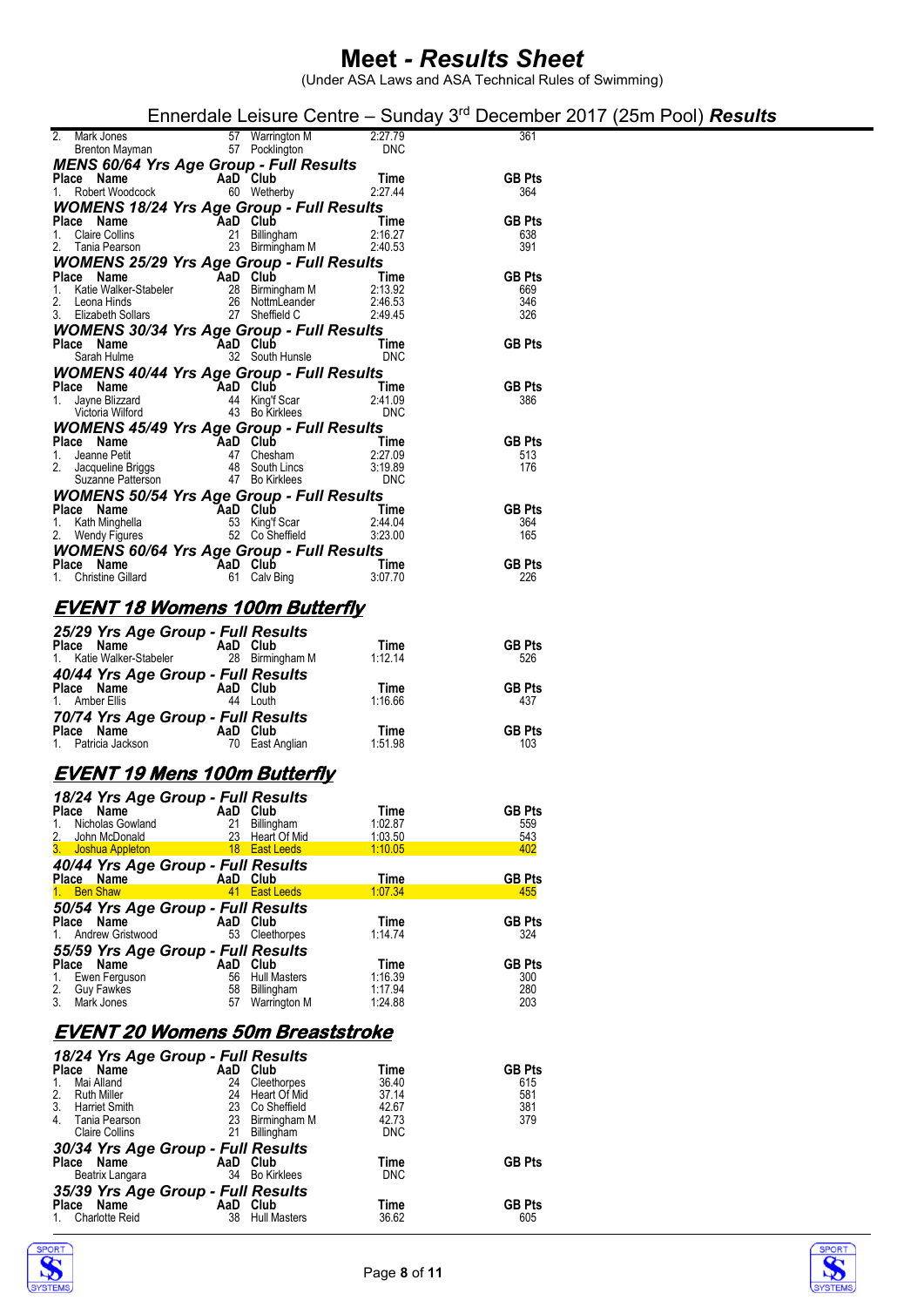(Under ASA Laws and ASA Technical Rules of Swimming)

| Ennerdale Leisure Centre - Sunday $3rd$ December 2017 (25m Pool) Results |  |
|--------------------------------------------------------------------------|--|
|--------------------------------------------------------------------------|--|

| 2. Mark Jones 57 Warrington M 2:27.79<br>Brenton Mayman 57 Pocklington 1970<br><b>PRESENTE: A 2000 PRESENTE:</b>                                                                                                                     |  | 361                  |
|--------------------------------------------------------------------------------------------------------------------------------------------------------------------------------------------------------------------------------------|--|----------------------|
|                                                                                                                                                                                                                                      |  |                      |
| <b>MENS 60/64 Yrs Age Group - Full Results<br/>Place Name AaD Club Time</b><br>1. Robert Woodcock 60 Wetherby 2:27.44                                                                                                                |  | <b>GB Pts</b>        |
|                                                                                                                                                                                                                                      |  | 364                  |
| WOMENS 18/24 Yrs Age Group - Full Results                                                                                                                                                                                            |  |                      |
| <b>Place Name 1. 2.1 1.2.1 Apple 1. 2.1 1.2.1 Apple 1. 2.1 Claire Collins 2.1 Apple 2.1 Apple 2.1 Apple 2.1 Apple 2.1 Apple 2.1 Apple 2.1 Apple 2.1 Apple 2.1 Apple 2.1 Apple 2.1 Apple 2.1 Apple 2.1 Apple 2.1 Apple 2.1 Apple </b> |  | <b>GB Pts</b>        |
|                                                                                                                                                                                                                                      |  | 638                  |
|                                                                                                                                                                                                                                      |  | 391                  |
| <b>WOMENS 25/29 Yrs Age Group - Full Results</b>                                                                                                                                                                                     |  |                      |
|                                                                                                                                                                                                                                      |  | <b>GB Pts</b><br>669 |
|                                                                                                                                                                                                                                      |  | 346                  |
| Place Name<br>1. Katie Walker-Stabeler<br>2. Leona Hinds<br>2. Leona Hinds<br>2. Elizabeth Sollars<br>2. Sheffield C. 2.46.53<br>2. Sheffield C. 2.49.45                                                                             |  | 326                  |
| <b>WOMENS 30/34 Yrs Age Group - Full Results</b>                                                                                                                                                                                     |  |                      |
| Place Name AaD Club Time<br>Sarah Hulme 32 South Hunsle DNC                                                                                                                                                                          |  | <b>GB Pts</b>        |
|                                                                                                                                                                                                                                      |  |                      |
| WOMENS 40/44 Yrs Age Group - Full Results                                                                                                                                                                                            |  |                      |
| Place Name<br>1. Jayne Blizzard<br>1. Jayne Blizzard<br>1. Jayne Blizzard<br>1. Jayne Blizzard<br>1. Jayne Blizzard<br>1. Jayne Blizzard<br>1. Jayne Blizzard<br>1. Subsetted 43 Bo Kirklees<br>1. DNC                               |  | <b>GB Pts</b>        |
|                                                                                                                                                                                                                                      |  | 386                  |
|                                                                                                                                                                                                                                      |  |                      |
| <b>WOMENS 45/49 Yrs Age Group - Full Results</b>                                                                                                                                                                                     |  | <b>GB Pts</b>        |
|                                                                                                                                                                                                                                      |  | 513.                 |
|                                                                                                                                                                                                                                      |  | 176                  |
| Place Name<br>1. Jeanne Petit 47 Chesham<br>2.27.09<br>2. Jacqueline Briggs 48 South Lincs 3:19.89<br>Suzanne Patterson 47 Bo Kirklees DNC                                                                                           |  |                      |
| <b>WOMENS 50/54 Yrs Age Group - Full Results</b>                                                                                                                                                                                     |  |                      |
| Place Name AaD Club<br>1. Kath Minghella<br>2. Wendy Figures 52 Co Sheffield<br>2. Wendy Figures 52 Co Sheffield<br>3.23.00                                                                                                          |  | <b>GB Pts</b>        |
|                                                                                                                                                                                                                                      |  | 364                  |
|                                                                                                                                                                                                                                      |  | 165                  |
| <b>WOMENS 60/64 Yrs Age Group - Full Results<br/>Place Name AaD Club Time<br/>1. Christine Gillard 61 Calv Bing 3:07.70</b>                                                                                                          |  | GB Pts $^{226}$      |
|                                                                                                                                                                                                                                      |  |                      |
|                                                                                                                                                                                                                                      |  |                      |
| <u>EVENT 18 Womens 100m Butterfly</u>                                                                                                                                                                                                |  |                      |
|                                                                                                                                                                                                                                      |  |                      |
| <b>25/29 Yrs Age Group - Full Results<br/> Place Name AaD Club Time<br/> 1. Katie Walker-Stabeler 28 Birmingham M 1:12.14</b>                                                                                                        |  |                      |
|                                                                                                                                                                                                                                      |  | <b>GB Pts</b>        |
|                                                                                                                                                                                                                                      |  | 526                  |
| <b>40/44 Yrs Age Group - Full Results<br/> Place Name AaD Club Time<br/> 1. Amber Ellis 44 Louth 1:16.66<br/> 70/74 Yrs Age Group - Full Results<br/> Place Name AaD Club Time<br/> 1. Patricia Jackson 70 East Anglian 1:51.98</b>  |  | <b>GB Pts</b>        |
|                                                                                                                                                                                                                                      |  | 437                  |
|                                                                                                                                                                                                                                      |  |                      |
|                                                                                                                                                                                                                                      |  | <b>GB Pts</b>        |
|                                                                                                                                                                                                                                      |  | 103                  |
|                                                                                                                                                                                                                                      |  |                      |

### **EVENT 19 Mens 100m Butterfly**

| 18/24 Yrs Age Group - Full Results |                                   |         |               |
|------------------------------------|-----------------------------------|---------|---------------|
| Place Name                         | AaD Club                          | Time    | <b>GB Pts</b> |
| Nicholas Gowland<br>1.             | 21<br>Billingham                  | 1:02.87 | 559           |
| 2.<br>John McDonald                | Heart Of Mid<br>23                | 1:03.50 | 543           |
| 3. Joshua Appleton                 | <b>East Leeds</b><br>$^{\circ}18$ | 1:10.05 | 402           |
| 40/44 Yrs Age Group - Full Results |                                   |         |               |
| Place Name                         | AaD Club                          | Time    | <b>GB Pts</b> |
| <b>Ben Shaw</b><br>$1 -$           | <b>East Leeds</b><br>41           | 1:07.34 | 455           |
| 50/54 Yrs Age Group - Full Results |                                   |         |               |
| Place Name                         | AaD Club                          | Time    | <b>GB Pts</b> |
| Andrew Gristwood<br>1.             | 53<br>Cleethorpes                 | 1:14.74 | 324           |
| 55/59 Yrs Age Group - Full Results |                                   |         |               |
| Place<br>Name                      | Club<br>AaD                       | Time    | <b>GB Pts</b> |
| Ewen Ferguson<br>1.                | 56<br><b>Hull Masters</b>         | 1:16.39 | 300           |
| 2. Guy Fawkes                      | 58<br>Billingham                  | 1:17.94 | 280           |
| 3.<br>Mark Jones                   | 57<br>Warrington M                | 1:24.88 | 203           |

### **EVENT 20 Womens 50m Breaststroke**

| 18/24 Yrs Age Group - Full Results                         |                          |                              |               |
|------------------------------------------------------------|--------------------------|------------------------------|---------------|
| <b>Place</b><br>Name                                       | AaD Club                 | Time                         | <b>GB Pts</b> |
| Mai Alland<br>$\mathbf{1}$ .                               | 24                       | 36.40<br>Cleethorpes         | 615           |
| 2.<br><b>Ruth Miller</b>                                   | 24                       | 37.14<br>Heart Of Mid        | 581           |
| 3.<br><b>Harriet Smith</b>                                 | 23                       | Co Sheffield<br>42.67        | 381           |
| 4.<br>Tania Pearson                                        | 23                       | Birmingham M<br>42.73        | 379           |
| <b>Claire Collins</b>                                      | Billingham<br>21         | <b>DNC</b>                   |               |
| 30/34 Yrs Age Group - Full Results                         |                          |                              |               |
| Place<br>Name                                              | AaD Club                 | Time                         | <b>GB Pts</b> |
| Beatrix Langara                                            | <b>Bo Kirklees</b><br>34 | <b>DNC</b>                   |               |
|                                                            |                          |                              |               |
|                                                            |                          |                              |               |
| 35/39 Yrs Age Group - Full Results<br>Name<br><b>Place</b> | Club<br>AaD              | Time                         | <b>GB Pts</b> |
| <b>Charlotte Reid</b>                                      | 38                       | 36.62<br><b>Hull Masters</b> | 605           |



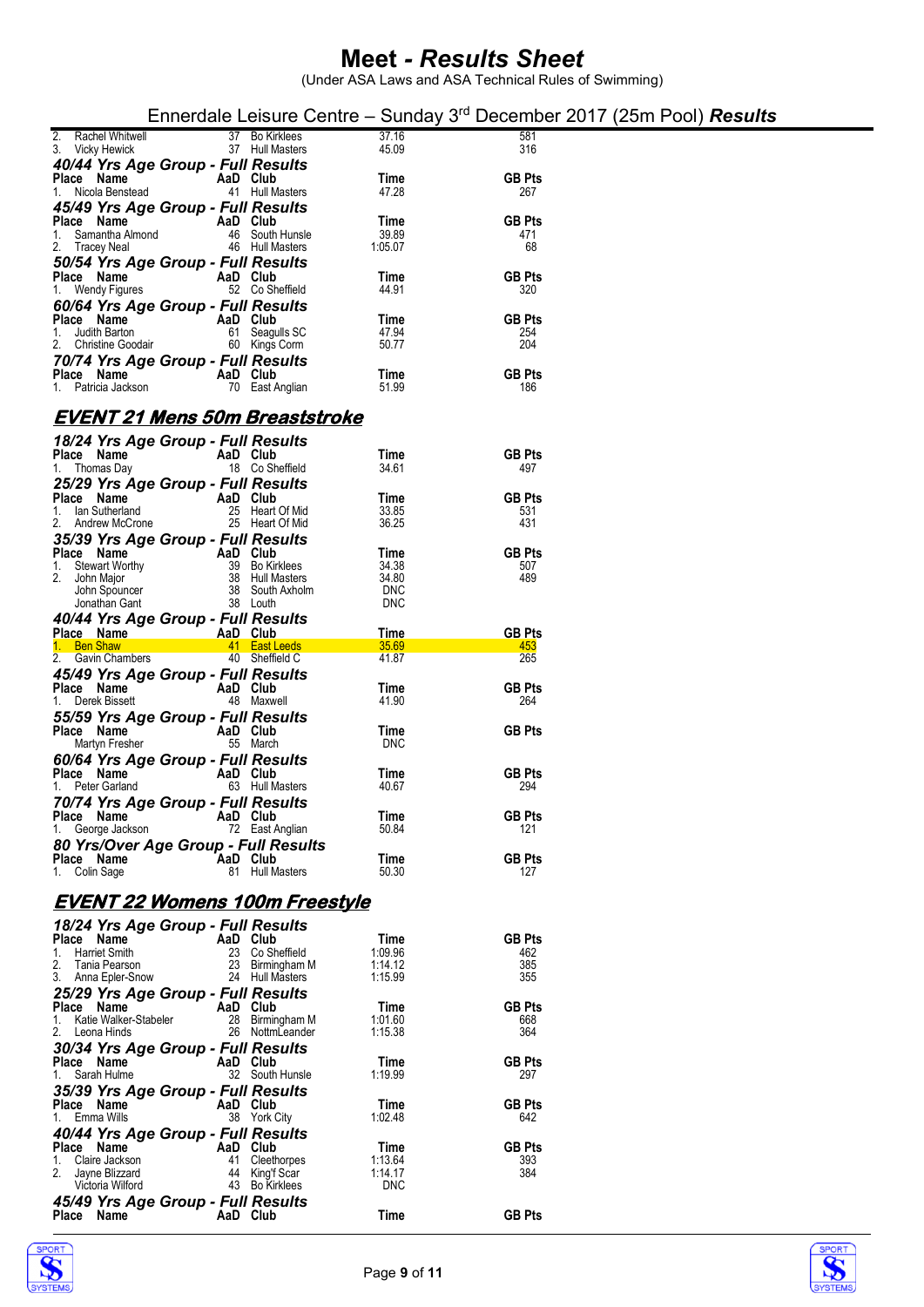|                                                                                 |                                    |                          | Ennerdale Leisure Centre – Sunday $3rd$ December 2017 (25m Pool) <b>Results</b> |
|---------------------------------------------------------------------------------|------------------------------------|--------------------------|---------------------------------------------------------------------------------|
| 37 Bo Kirklees<br>Rachel Whitwell<br>2.<br>37 Hull Masters<br>3. Vicky Hewick   |                                    | 37.16<br>45.09           | 581<br>316                                                                      |
| 40/44 Yrs Age Group - Full Results                                              |                                    |                          |                                                                                 |
| Place Name<br>AaD Club<br>Nicola Benstead<br>41 Hull Masters<br>1.              |                                    | Time<br>47.28            | <b>GB Pts</b><br>267                                                            |
| 45/49 Yrs Age Group - Full Results<br>Place Name<br>AaD Club                    |                                    | Time                     | <b>GB Pts</b>                                                                   |
| 1. Samantha Almond<br>46 Hull Masters<br>2. Tracey Neal                         | 46 South Hunsle                    | 39.89<br>1:05.07         | 471<br>68                                                                       |
| 50/54 Yrs Age Group - Full Results                                              |                                    |                          |                                                                                 |
| Place Name<br>AaD Club<br>52 Co Sheffield<br>1. Wendy Figures                   |                                    | Time<br>44.91            | <b>GB Pts</b><br>320                                                            |
| 60/64 Yrs Age Group - Full Results<br>Place Name<br>AaD Club                    |                                    | Time                     | <b>GB Pts</b>                                                                   |
| 1. Judith Barton<br>61 Seagulls SC                                              |                                    | 47.94                    | 254                                                                             |
| 60 Kings Corm<br>2. Christine Goodair<br>70/74 Yrs Age Group - Full Results     |                                    | 50.77                    | 204                                                                             |
| AaD Club<br>Place Name<br>1. Patricia Jackson<br>70 East Anglian                |                                    | Time<br>51.99            | <b>GB Pts</b><br>186                                                            |
|                                                                                 |                                    |                          |                                                                                 |
| EVENT 21 Mens 50m Breaststroke                                                  |                                    |                          |                                                                                 |
| 18/24 Yrs Age Group - Full Results<br>Place Name<br>AaD Club                    |                                    | Time                     | <b>GB Pts</b>                                                                   |
| 1. Thomas Day<br>18 Co Sheffield<br>25/29 Yrs Age Group - Full Results          |                                    | 34.61                    | 497                                                                             |
| Place Name<br>AaD Club                                                          |                                    | Time                     | <b>GB Pts</b>                                                                   |
| lan Sutherland<br>25 Heart Of Mid<br>1.<br>25 Heart Of Mid<br>2. Andrew McCrone |                                    | 33.85<br>36.25           | 531<br>431                                                                      |
| 35/39 Yrs Age Group - Full Results<br>Place Name<br>AaD Club                    |                                    | Time                     | <b>GB Pts</b>                                                                   |
| 39<br><b>Stewart Worthy</b><br>1.<br>38 Hull Masters<br>2. John Major           | <b>Bo Kirklees</b>                 | 34.38<br>34.80           | 507<br>489                                                                      |
| John Spouncer<br>38 Louth<br>Jonathan Gant                                      | 38 South Axholm                    | <b>DNC</b><br><b>DNC</b> |                                                                                 |
| 40/44 Yrs Age Group - Full Results                                              |                                    |                          |                                                                                 |
| AaD Club<br>Place Name<br>1. Ben Shaw<br>41 East Leeds                          |                                    | Time<br>35.69            | <b>GB Pts</b><br>453                                                            |
| 40 Sheffield C<br>2. Gavin Chambers<br>45/49 Yrs Age Group - Full Results       |                                    | 41.87                    | 265                                                                             |
| Place Name<br>AaD Club                                                          |                                    | Time                     | <b>GB Pts</b>                                                                   |
| Derek Bissett<br>48 Maxwell<br>1.<br>55/59 Yrs Age Group - Full Results         |                                    | 41.90                    | 264                                                                             |
| AaD Club<br>Place Name<br>55 March<br>Martyn Fresher                            |                                    | Time<br><b>DNC</b>       | <b>GB Pts</b>                                                                   |
| 60/64 Yrs Age Group - Full Results                                              |                                    |                          |                                                                                 |
| Place Name<br>AaD Club<br>1. Peter Garland<br>63 Hull Masters                   |                                    | Time<br>40.67            | <b>GB Pts</b><br>294                                                            |
| 70/74 Yrs Age Group - Full Results<br>Place Name<br>AaD Club                    |                                    | Time                     | <b>GB Pts</b>                                                                   |
| George Jackson<br>72 East Anglian<br>1.                                         |                                    | 50.84                    | 121                                                                             |
| 80 Yrs/Over Age Group - Full Results<br>Place Name<br>AaD Club                  |                                    | Time                     | <b>GB Pts</b>                                                                   |
| 1. Colin Sage<br>81 Hull Masters                                                |                                    | 50.30                    | 127                                                                             |
| EVENT 22 Womens 100m Freestyle                                                  |                                    |                          |                                                                                 |
| 18/24 Yrs Age Group - Full Results<br>Place Name<br>AaD Club                    |                                    | Time                     | <b>GB Pts</b>                                                                   |
| 23 Co Sheffield<br>1. Harriet Smith                                             |                                    | 1:09.96                  | 462                                                                             |
| 2.<br>Tania Pearson<br>3. Anna Epler-Snow<br>24 Hull Masters                    | 23 Birmingham M                    | 1:14.12<br>1:15.99       | 385<br>355                                                                      |
| 25/29 Yrs Age Group - Full Results<br>Place Name<br>AaD Club                    |                                    | Time                     | <b>GB Pts</b>                                                                   |
| Katie Walker-Stabeler<br>1.<br>2. Leona Hinds                                   | 28 Birmingham M<br>26 NottmLeander | 1:01.60<br>1:15.38       | 668<br>364                                                                      |
| 30/34 Yrs Age Group - Full Results                                              |                                    |                          |                                                                                 |
| Place Name<br>AaD Club<br>Sarah Hulme                                           | 32 South Hunsle                    | Time<br>1:19.99          | <b>GB Pts</b><br>297                                                            |
| 35/39 Yrs Age Group - Full Results<br>AaD Club                                  |                                    |                          | <b>GB Pts</b>                                                                   |
| Place Name<br>Emma Wills<br>38 York City<br>1.                                  |                                    | Time<br>1:02.48          | 642                                                                             |
| 40/44 Yrs Age Group - Full Results<br>Place Name<br>AaD Club                    |                                    | Time                     | <b>GB Pts</b>                                                                   |
| Claire Jackson<br>41 Cleethorpes<br>1.<br>2.<br>Jayne Blizzard<br>44            | King'f Scar                        | 1:13.64<br>1:14.17       | 393<br>384                                                                      |
| 43 Bo Kirklees<br>Victoria Wilford                                              |                                    | <b>DNC</b>               |                                                                                 |
| 45/49 Yrs Age Group - Full Results<br><b>Place</b><br>Name<br>AaD Club          |                                    | Time                     | <b>GB Pts</b>                                                                   |



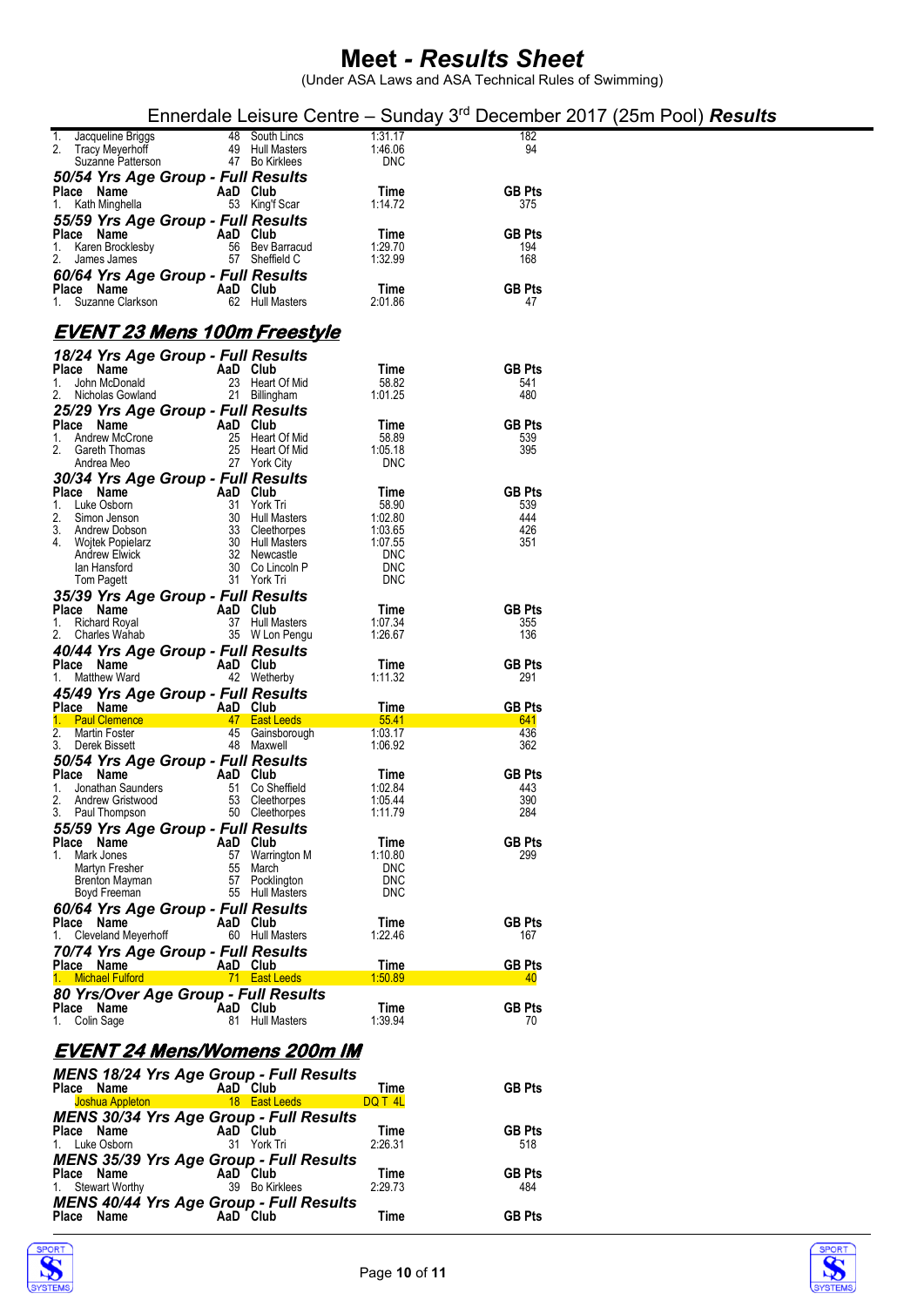|                                                                   |          |                                       |                          |                      | Ennerdale Leisure Centre – Sunday $3rd$ December 2017 (25m Pool) <b>Results</b> |  |
|-------------------------------------------------------------------|----------|---------------------------------------|--------------------------|----------------------|---------------------------------------------------------------------------------|--|
| Jacqueline Briggs<br>1.                                           |          | 48 South Lincs                        | 1.31.17                  | 182                  |                                                                                 |  |
| 2.<br>Tracy Meyerhoff<br>Suzanne Patterson                        | 47       | 49 Hull Masters<br><b>Bo Kirklees</b> | 1:46.06<br><b>DNC</b>    | 94                   |                                                                                 |  |
| 50/54 Yrs Age Group - Full Results                                |          |                                       |                          |                      |                                                                                 |  |
| Place Name<br>1. Kath Minghella                                   | AaD Club | 53 King'f Scar                        | Time<br>1:14.72          | <b>GB Pts</b><br>375 |                                                                                 |  |
| 55/59 Yrs Age Group - Full Results                                |          |                                       |                          |                      |                                                                                 |  |
| Place Name                                                        | AaD Club |                                       | Time                     | <b>GB Pts</b>        |                                                                                 |  |
| Karen Brocklesby<br>1.<br>2.<br>James James                       |          | 56 Bev Barracud<br>57 Sheffield C     | 1:29.70<br>1:32.99       | 194<br>168           |                                                                                 |  |
| 60/64 Yrs Age Group - Full Results                                |          |                                       |                          |                      |                                                                                 |  |
| Place Name<br>1. Suzanne Clarkson                                 | AaD Club | 62 Hull Masters                       | Time<br>2:01.86          | <b>GB Pts</b><br>47  |                                                                                 |  |
|                                                                   |          |                                       |                          |                      |                                                                                 |  |
| EVENT 23 Mens 100m Freestyle                                      |          |                                       |                          |                      |                                                                                 |  |
| 18/24 Yrs Age Group - Full Results                                | AaD Club |                                       | Time                     | <b>GB Pts</b>        |                                                                                 |  |
| Place Name<br>John McDonald<br>1.                                 | 23       | Heart Of Mid                          | 58.82                    | 541                  |                                                                                 |  |
| Nicholas Gowland                                                  | 21       | <b>Billingham</b>                     | 1:01.25                  | 480                  |                                                                                 |  |
| 25/29 Yrs Age Group - Full Results<br>Place Name                  | AaD Club |                                       | Time                     | <b>GB Pts</b>        |                                                                                 |  |
| Andrew McCrone<br>1.                                              | 25       | Heart Of Mid                          | 58.89                    | 539                  |                                                                                 |  |
| 2. Gareth Thomas<br>Andrea Meo                                    |          | 25 Heart Of Mid<br>27 York City       | 1:05.18<br><b>DNC</b>    | 395                  |                                                                                 |  |
| 30/34 Yrs Age Group - Full Results                                |          |                                       |                          |                      |                                                                                 |  |
| Place Name<br>Luke Osborn<br>1.                                   | AaD Club | 31 York Tri                           | Time<br>58.90            | <b>GB Pts</b><br>539 |                                                                                 |  |
| 2.<br>Simon Jenson                                                | 30       | Hull Masters                          | 1:02.80                  | 444                  |                                                                                 |  |
| Andrew Dobson<br>3.<br><b>Wojtek Popielarz</b><br>4.              | 33       | Cleethorpes<br>30 Hull Masters        | 1:03.65<br>1:07.55       | 426<br>351           |                                                                                 |  |
| <b>Andrew Elwick</b>                                              |          | 32 Newcastle                          | <b>DNC</b><br><b>DNC</b> |                      |                                                                                 |  |
| lan Hansford<br>Tom Pagett                                        | 30       | Co Lincoln P<br>31 York Tri           | <b>DNC</b>               |                      |                                                                                 |  |
| 35/39 Yrs Age Group - Full Results                                |          |                                       |                          |                      |                                                                                 |  |
| Place Name<br>1. Richard Royal                                    | AaD Club | 37 Hull Masters                       | Time<br>1:07.34          | <b>GB Pts</b><br>355 |                                                                                 |  |
| 2. Charles Wahab                                                  |          | 35 W Lon Pengu                        | 1:26.67                  | 136                  |                                                                                 |  |
| 40/44 Yrs Age Group - Full Results<br>Place Name                  | AaD Club |                                       | Time                     | <b>GB Pts</b>        |                                                                                 |  |
| Matthew Ward<br>1.                                                |          | 42 Wetherby                           | 1:11.32                  | 291                  |                                                                                 |  |
| 45/49 Yrs Age Group - Full Results<br>Place Name                  | AaD Club |                                       | Time                     | <b>GB Pts</b>        |                                                                                 |  |
| 1. Paul Clemence                                                  | 47       | <b>East Leeds</b>                     | 55.41                    | 641                  |                                                                                 |  |
| 2.<br>Martin Foster<br>3.<br>Derek Bissett                        | 45<br>48 | Gainsborough<br>Maxwell               | 1:03.17<br>1.06.92       | 436<br>362           |                                                                                 |  |
| 50/54 Yrs Age Group - Full Results                                |          |                                       |                          |                      |                                                                                 |  |
| Place Name<br>Jonathan Saunders<br>1.                             | AaD Club | 51 Co Sheffield                       | Time<br>1:02.84          | <b>GB Pts</b><br>443 |                                                                                 |  |
| 2.<br>Andrew Gristwood                                            |          | 53 Cleethorpes                        | 1.05.44                  | 390                  |                                                                                 |  |
| 3. Paul Thompson                                                  |          | 50 Cleethorpes                        | 1.11.79                  | 284                  |                                                                                 |  |
| 55/59 Yrs Age Group - Full Results<br>Place Name                  | AaD Club |                                       | Time                     | <b>GB Pts</b>        |                                                                                 |  |
| 1. Mark Jones                                                     |          | 57 Warrington M<br>55 March           | 1:10.80<br><b>DNC</b>    | 299                  |                                                                                 |  |
| Martyn Fresher<br>Brenton Mayman                                  | 57       | Pocklington                           | <b>DNC</b>               |                      |                                                                                 |  |
| Boyd Freeman                                                      |          | 55 Hull Masters                       | <b>DNC</b>               |                      |                                                                                 |  |
| 60/64 Yrs Age Group - Full Results<br>Place Name                  | AaD Club |                                       | Time                     | <b>GB Pts</b>        |                                                                                 |  |
| 1. Cleveland Meyerhoff                                            |          | 60 Hull Masters                       | 1:22.46                  | 167                  |                                                                                 |  |
| 70/74 Yrs Age Group - Full Results<br>Place Name                  | AaD Club |                                       | Time                     | <b>GB Pts</b>        |                                                                                 |  |
| 1. Michael Fulford                                                |          | 71 East Leeds                         | 1:50.89                  | 40                   |                                                                                 |  |
| 80 Yrs/Over Age Group - Full Results<br>Place Name                | AaD Club |                                       | Time                     | <b>GB Pts</b>        |                                                                                 |  |
| 1. Colin Sage                                                     |          | 81 Hull Masters                       | 1.39.94                  | 70                   |                                                                                 |  |
| EVENT 24 Mens/Womens 200m IM                                      |          |                                       |                          |                      |                                                                                 |  |
| <b>MENS 18/24 Yrs Age Group - Full Results</b>                    |          |                                       |                          |                      |                                                                                 |  |
| Place Name                                                        |          | AaD Club                              | Time                     | <b>GB Pts</b>        |                                                                                 |  |
| Joshua Appleton<br><b>MENS 30/34 Yrs Age Group - Full Results</b> |          | 18 East Leeds                         | DQ T 4L                  |                      |                                                                                 |  |
| Place Name                                                        |          | AaD Club                              | Time                     | <b>GB Pts</b>        |                                                                                 |  |
| 1. Luke Osborn                                                    |          | 31 York Tri                           | 2:26.31                  | 518                  |                                                                                 |  |
| <b>MENS 35/39 Yrs Age Group - Full Results</b><br>Place Name      | AaD Club |                                       | Time                     | <b>GB Pts</b>        |                                                                                 |  |
| 1. Stewart Worthy                                                 |          | 39 Bo Kirklees                        | 2:29.73                  | 484                  |                                                                                 |  |
| <b>MENS 40/44 Yrs Age Group - Full Results</b><br>Place Name      | AaD Club |                                       | Time                     | <b>GB Pts</b>        |                                                                                 |  |